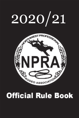# 2020/21



## **Official Rule Book**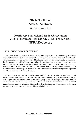#### **2020-21 Official NPRA Rulebook**

*REVISED January 2020*

#### **Northwest Professional Rodeo Association** 35988 S. Sawtell Rd ~ Molalla, OR 97038 | 503-829-8868 **NPRARodeo.org**

#### **NPRA OFFICIAL CODE OF CONDUCT**

The NPRA Board of Directors is committed to maintaining behavior standard for any member or non-member participant. All participants will conduct themselves in accordance with this rulebook. These rules apply to sanctioned rodeos, NPRA hosted events and anytime a member or non-member is representing the NPRA in any way. All participants/members are subject to reprimand, fine, ineligibility, suspension of NPRA privileges or expulsion pursuant to the penalties set forth in the rulebook. Penalties shall be determined by the Board of Directors or any committee to whom the Board of Directors has delegated such authority to. Any fine over \$500 and/or suspension/expulsion must be decided by the Board of Directors.

All participants will conduct themselves in a professional manner, with fairness, honesty and respect. Participants in or out of the arena who engage in quarreling, using excessive foul language, speaking in an abusive or threatening manner, attempting to cheat or displaying any conduct that is or could be detrimental to the public image of the NPRA will be subject to discipline as described in previous paragraph. Participants drinking alcohol or showing signs of intoxication in the arena during rodeo performance or slack are subject to discipline as well.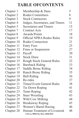### **TABLE OFCONTENTS**

| Chapter 1  | Membership & Dues                                                  | 5  |
|------------|--------------------------------------------------------------------|----|
| Chapter 2  | <b>Rodeo Committees</b>                                            | 8  |
| Chapter 3  | <b>Stock Contractors</b>                                           | 9  |
| Chapter 4  | Judges, Secretaries, and Timers                                    | 11 |
| Chapter 5  | <b>Secretaries and Timers</b>                                      | 15 |
| Chapter 7  | <b>Contract Acts</b>                                               | 17 |
| Chapter 8  | <b>Awards/Points</b>                                               | 18 |
| Chapter 9  | <b>Official NPRA Rodeo Rules</b>                                   | 19 |
| Chapter 10 | Rodeo Connection                                                   | 21 |
| Chapter 11 | <b>Entry Fees</b>                                                  | 25 |
| Chapter 12 | <b>Fines or Suspension</b>                                         | 27 |
| Chapter 13 | Payoff                                                             | 30 |
| Chapter 14 | <b>Stock Draw</b>                                                  | 31 |
| Chapter 15 | <b>Rough Stock General Rules</b>                                   | 32 |
| Chapter 16 | <b>Bareback Riding</b>                                             | 33 |
| Chapter 17 | Saddle Bronc Riding                                                | 34 |
| Chapter 18 | <b>Ranch Bronc Riding</b>                                          | 35 |
| Chapter 19 | <b>Bull Riding</b>                                                 | 36 |
| Chapter 20 | Re-rides                                                           | 37 |
| Chapter 21 | <b>Timed Event General Rules</b>                                   | 38 |
| Chapter 22 | Tie Down Roping                                                    | 41 |
| Chapter 23 | <b>Team Roping</b>                                                 | 42 |
| Chapter 24 | <b>Steer Wrestling</b>                                             | 43 |
| Chapter 25 | Wild Cow Milking                                                   | 44 |
| Chapter 26 | <b>Breakaway Roping</b>                                            | 45 |
| Chapter 27 | Women's Barrel Racing                                              | 46 |
| Chapter 28 | Human Treatment of Livestock<br>4 OFFICAL NPRA RULE BOOK 2020-2021 | 48 |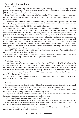#### **1. Membership and Dues**

#### General Rules

1.Dues for all memberships will considered delinquent if not paid in full by January 1 of each year. Dues less than thirty (30) days delinquent will result in a \$5 assessment. Dues more than thirty (30) days delinquent will result in a \$10 assessment.

2.Membership card numbers must be used when entering NPRA-approved rodeos. It is mandatory that contestants entering an NPRA-approved rodeo must have a membership number from the secretary/treasurer.

3.A member who competes/works in more than one (1) membership category must have a card for each category: Contesting, Non-contesting, and/or Contracts Acts. The membership fees will be the cost of the highest card plus \$20 for each additional category.

4.Contract acts and non-contesting personnel hired by a rodeo committee or stock contractor in connection with a NPRA approved rodeo may need to be approved by the NPRA Board of Directors or other association and must have a non-contesting or contract acts membership card or a one-time personnel card. Membership dues for a one-time non-contesting or contracts acts card will be \$35. One-time non-contesting or contracts acts card-holder will not be qualified for the finals rodeo or for year-end awards. Non-contesting or contracts acts personnel must purchase an appropriate card before working any other NPRA rodeo. A rodeo committee, rodeo producer or stock contractor who hires (regardless if paid or not) non-member contract personnel will be subject to a \$100 fine per rodeo, per individual hired. At each rodeo all contract acts and non-contesting personnel will check in with the rodeo secretary to verify membership.

5.All NPRA directors will receive a Director Membership card at no cost. Any additional cards/ memberships will be charged regular dues rate.

6.No membership renewal of any membership category will be processed/accepted if the applicant for renewal has any delinquent financial obligations due to the NPRA.

#### Contesting Members

1.Membership dues for "contesting members" will be \$110100(submitted by NPRA Office 2018) annually, payable January 1 or before entering any rodeo held after the annual meeting. For rodeos that are held between the finals rodeo and awards presentation, members may enter on their current card but points will not count if dues are not paid by January 1. If dues are not paid by January 1, members will not be permitted to enter any NPRA approved rodeo until a membership card is secured from the secretary/treasurer.

2.All first year members will be on a probation period of one year, during which time they are required to pay entry fees in cash.

#### Permits

1.Non-members may purchase, from the NPRA office, a permit to contest at association-approved rodeos for \$8070(submitted by NPRA Office 2018). Permits must be renewed yearly.

2.If a permit holder wins over \$500 within a season they may complete the season on the permit but must buy a "competing member" card the following season.

3.A permit will not be issued to a former member unless he/she has not been a member for the three preceding years, and has no delinquencies for fees or fines.

4.Permit applications must meet membership qualifications.

5.Permit holders are automatically bound by all association rules while competing at association rodeos.

6.If a permit holder wishes to become an association member, the permit must be returned to the association office before membership card can be purchased.

7.Committees have the right to limit entries from permit holders in certain events but the information must be published in the long listings.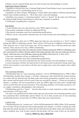8.Money won by a permit holder does not count toward year-end standings or awards. High School Rodeo Members

1.Qualifiers to the previous year's National High School Finals Rodeo in any event sanctioned by the NPRA may receive a membership card at no cost.

2.Qualifiers are those Oregon, Washington, western Idaho and northern California national high school rodeo members placing 1st – 4th in their state's year-end standings.

3.Qualifiers may request a "contesting member" card or a "permit" for the rodeo year following the National High School Finals Rodeo in which they competed or qualified

4.Verification of qualification is required.

#### Day-Permit

1.A non-member may use a day-permit to enter NPRA approved rodeos.

2.Day-permit contestants will pay an additional \$40 fee.

3.Day-permit contestants must meet membership qualifications.

4.Money won by a day-permit contestant does not count towards year-end standings or awards.

#### Local Contestant

1.Contestants may enter one (1) NPRA approved rodeo per year anywhere as a "local" without joining the NPRA or obtaining a permit. There will be a \$10 local fee in addition to their entry fees. After using the one (1) time local status, they will be required to buy a \$40 day permit per rodeo entered, if they choose not to buy a NPRA membership.

Local contestants may enter one rodeo per season without joining the NPRA or obtaining a permit. Local must live within a 50-mile radius of the rodeo and may enter only one rodeo per year as a "local". After they have won \$500 they must join the NPRA.(Submitted by D. Bain 2018)

2.One-time contestants will pay an additional \$10 fee.

3.One-time contestants must meet membership qualifications.

4.Money won by a one-time contestant does not count towards year-end standings or awards.

5.Local contestants will draw last and run first in all timed events except barrel racing where they will be last in position. Local entries will draw last in rough stock events and compete when called/ announced.

#### Non-contesting Members

1.Membership dues for "non-contesting members" will be \$8070(Submitted by NPRA Office 2018)annually, payable from January 1 or before working any rodeo held after the annual meeting. For rodeos that are held between the finals rodeo and awards presentation, members may work on their current card but points will not count if dues are not paid by January 1. If dues are not paid by January 1, members will not be permitted to enter any NPRA approved rodeo until a membership card is secured from the secretary/treasurer. Non-contesting members will include secretaries, timers, judges, committees, photographers, and contractors.

2.Membership cards for a "lessor" – who provides stock to a stock contractor or rodeo committee must purchase a \$70 lessor card.

3.In order to be qualified for the finals rodeo and year-end awards, non-contesting members must have purchased their membership card by March 1st, be in their second year of non-contesting membership and have at least three (3) NPRA rodeos that year in that position.

#### Contract Acts

1.Membership dues for "contract acts" will be \$9585(submitted by NPRA Office 2018) annually, (\$15 of which will go toward year-end awards) payable from January 1 or before working any rodeo held after the annual meeting. For rodeos that are held between the finals rodeo and awards presentation, members may work on their current card but points will not count if dues are not paid by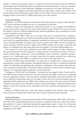January 1. If dues are not paid by January 1, members will not be permitted to enter any NPRA approved rodeo until a membership card is secured from the secretary/treasurer. Contact acts members will include announcers, clown/barrelman, bullfighters, pickup men, trick riders, drill teams, etc.

2.In order to be qualified for the finals rodeo and year-end awards, contract acts members must have purchased their membership card by March 1st, be in their second year of contract acts membership and have at least three (3) NPRA rodeos that year in that position.

#### Gold Card Members

Guidelines: Any NPRA member or past member that is fifty (50) years of age or older and that is NOT on the Association ineligible list may be considered for a gold card.

Normally a person to be nominated for a gold card has been, or was a member of the NPRA for several years, usually at least ten (10) years and has attained an age of fifty (50) or more. However, the length of a person's NPRA membership may become insignificant upon consideration of their overall contribution to the Association.

Contribution to the NPRA: There are two (2) main areas that are considered when evaluating a nominee for an NPRA gold card. The first is the ability and the number of event championships that were won by a competing member. An important consideration in this area is NOT only the number of year-end championships associated with a person's career in the NPRA, but also the degree to which a nominee reflected a positive image on the NPRA and the sport of rodeo in general. The quality of a champion may more than make up for the number of year-end championships won.

The second area is the overall contribution to the NPRA and the support of rodeo. Nominees in this area will generally fall into categories of officers/directors and contract personnel such as secretaries, timers, judges, announcers, clowns, bullfighters, stock contractors, committee members, sponsors, etc. Contributions may be in many forms such as monetary, personal time, influencing advancement/growth of the NPRA or a specific activity such as the finals rodeo, etc.

Selection of NPRA Gold Card Members: Any person to be considered for a gold card must be nominated by a current NPRA member. Nominations shall be in the form of a written list indicating length of membership and identifying the significant contributions of the nominee during the person's association with the NPRA. The Board of Directors shall review the written nomination and a majority vote of the board shall be required to award a gold card.

Privileges of NPRA Gold Card Members: Nominees that are judged worthy of gold cards by the NPRA Board of Directors shall have the same privileges and rights as both active competing and non-competing members of the Association including voting rights. Gold card members will be provided their membership cards free of charge to them each year. Gold card members and one dependent shall be admitted to any NPRA rodeo without cost to them. From time to time, the Board of Directors may decide to provide other privileges to gold card members. Gold Card members must adhere to the by-laws and rules of the Association to the same standards and expectations as active members.

Duration of NPRA Gold Cards: Gold cards shall be awarded for the lifetime of the recipients. Gold cards are not transferrable and become inactive when recipients become deceased.

#### Associate Members

Membership dues for Associate Member shall be \$5545(submitted by NPRA Office 2018) annually. This a non-voting membership, not to be used by contestants, contract acts, and/or non-contesting members. It is open to individuals interested in supporting the sport of rodeo. Every Associate Member will receive a membership card. The Associate member agrees to abide by all rules and regulations of the NPRA.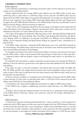#### **2.RODEO COMMITTEES**

#### Rodeo Approval

1.All Committees sponsoring or contracting association rodeos will be required to join the association as non-contesting member.

2.Rodeo approval forms for existing NPRA rodeo shall be into the NPRA office at least ninety(90) days prior to rodeo dates or a \$100 late charge will be assessed. All NPRA rodeos must be approved by the NPRA rodeo approval committee providing they do not make any changes from the previous year's approval. Any existing NPRA rodeo that submits approval forms with changes must be approved by the NPRA Board of Directors. New NPRA Rodeos must have an affirmative note of directors present during a directors meeting for approval.

3.There will be a \$25 charge (per submission) for any change to the approval form made after the rodeo information in the long listings. Changes to performance and/or slack times or dates must be submitted at least three (3) weeks before the first draw of the rodeo.

4.No rodeo will be approved without the following major events: Bareback Riding, Saddle Bronc Riding, Bull Riding, Tie Down Roping, Steer Wrestling, Team Roping, Barrel Racing, and Breakaway Roping. Wild Cow Milking is an optional event.Wild Cow Milking, Novice Saddle Bronc Riding, Novice Bareback Riding and Ranch Bronc Riding are optional events. (submitted by D. Bain 8/2019)

5.All NPRA rodeos must have a minimum \$300 added money per event with \$600 minimum in the Team Roping. The added money must be the same in all timed events with the amount being the same for the header and heeler in Team Roping.

6.Committees choosing to limit entries from permit holders in certain events must provide notice into the NPRA office so that it can be posted in the long listing two weeks prior to entry open date.

7.Approved rodeos shall not jackpot a major event during the rodeo unless it is advertised as a local event.

8.Committees have the option to require contestants to head mug the cows during the Wild Cow Milking. It must be stated as a ground rule on the approval form and published in the official NPRA long listings.

9.The order of events is set by the committee. The normal order of events is BB, TD, BKR, SB, SW, TR, WBR, and BR. Any change from the normal order must be published. Order of slack is the same as order of the rodeo except barrels run last unless posted in the different order. Slack may not be held after last performance.

10.Stock contractor, producer, or committee must notify Rodeo Connection and the NPRA office at least fourteen (14) days prior to canceling their rodeo. A \$250 fine will be assessed for the first offense and a \$500 fine for each additional offense.

11.Committees may request that neighboring associations co-approve NPRA prime rodeos.

12.The NPRA may co-approve neighboring association rodeos that have over \$800 added per event.

13.Rodeos with less than the required amount of events may be co-sanctioned with the approval of the NPRA Board of Directors. Money won would not count for All Around. (Submitted by J. Jardine 2018)

#### NPRA Personnel

1.Contract acts and non-contesting personnel hired by a rodeo committee or stock contractor in connection with a NPRA approved rodeo may need to be approved by the NPRA Board of Directors or other association and must have a non-contesting or contract acts membership card or a one-time personnel card. A rodeo committee, rodeo producer or stock contractor who hires (regardless if paid or not) non-member or non-approved contract personnel will be subject to a \$100 fine per rodeo,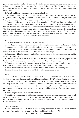per individual hired for the first offense, fine doubled thereafter. Contract Acts personnel include the following: Announcer, Clown/barrelman, Bullfighters, Pickup men, Trick Riders, Drill Teams, etc. Non-contesting personnel include the following: Stock Contractor, Secretary, Timer, Judge, and Photographer.

2.Two (2) bullfighters are required at all approved rodeos.

3.A three-judge system – two (2) rough stock and one (1) flagger is mandatory and judges are assigned by the NPRA judges committee. The rodeo committee or contractor is responsible to pay two (2) of the judges and the third judge is paid by the contestants.

4.Contractor and/or committee will pay judges a minimum of \$175 and timers a minimum of \$125 per performance. \$200 per performance is to be paid to judges and \$150 per performance for timers if the rodeo chooses to not have a slack when the number of contestants would warrant slack. The third judge is paid by monies received from the cowboys. Payment for slack also comes from monies collected from the cowboys. The association has no set prices for salaries for rodeo secretaries, contract performers, announcers, labor, etc. but the association expects the rodeo to pay a fair salary in keeping with the size of the rodeo for these positions.

#### Grounds

1.The arena shall be free of rocks, holes, and obstacles.

2.Since the ground is of the utmost importance to all events, the ground must be worked prior to slack.

3.Barriers must be a side-pull with pulley and neck rope pulling from the side of the chute.

4.Panel boxes shall have adequate backing behind box pad, either plywood or plank boards to a minimum height of 48" and width of 48". Pipe rail boxes are exempt.

5.Committees will make sure the standard box pads furnished by the stock contractor are used in each timed event box.

6.Chutes must be constructed as to prevent injury to stock. Maintenance men and equipment shall be stationed at chutes to assist in removal of any animal should it become caught.

7.Committees are requested to arrange, ahead of time, to have the phone number posted in the rodeo office of a vet that may be reached during that rodeo in case of emergency.

8.A conveyance must be available to remove animals from the arena in case of injury.

9.Adequate medical care must be available for contestants and spectators.

#### **Other**

1.NPRA officers and directors will be admitted to all NPRA rodeos on their NPRA director cards. Gold card members and one dependent shall be admitted to any NPRA rodeo without cost to them.

2.Contestants entered in a rodeo performance are to receive passes for their spouse and children for that performance. Passes are limited to the number of dependents indicated on the contestant's membership card with a minimum of one (1) companion pass. Children must be accompanied by the contestant or contestant's spouse. A minor contestant will receive two (2) dependents on their membership card.

Barrier Equipment and Timed Event Chute Help

Committee or stock contractor will ensure adequate neck ropes and barrier equipment and timed event chute help. The fine for not having adequate neck ropes and barrier equipment will be one hundred fifty (\$150) dollars per performance. Fine will be assessed to the stock contractor. (Submitted by John Schoorl 2017)

#### Slack Announcer

Rodeo Committees will be required to have an adequate announcer for slack. Timers will not announce slack and time at the same time. (Submitted by John Schoorl 2017)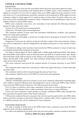#### **3.STOCK CONTRACTORS**

#### General Rules

All stock contractors must join the association before their first association approved rodeo.

A stock contractor must produce and maintain three (3) NPRA rodeos, with a minimum of \$300 added, for a period of two (2) years to acquire status as an NPRA approved stock contractor. At the end of the two (2) year probationary period the contractor will be declared an NPRA approved stock contractor subject to board approval. If contractor does not have three (3) prime rodeos per year they will go back to probationary contractor status. Contractors that are probationary status are not eligible to bid on existing NPRA rodeos.

NPRA stock contractors must have sole ownership of and maintain the following minimum amount of rodeo stock year round:

•Twenty-five (25) head of proven bucking bulls

•Thirty-five (35) head of proven bucking horses

•The minimum amount of stock must bear permanent identification, numbers, and registered brand of owning stock contractor.

•Stock contractors will supply a current list of rough stock by description of brand to the NPRA office upon request.

•Inspection of stock may be made by giving ten (10) days' notice to the stock contractor. Inspection will be conducted by a director designated by the Board of Directors to verify amount of stock owned.

•All animals in riding events must have been tried by the NPRA contractor or lessor at least once as a bucking animal before being put in the draw.

•No sharp or cutting objects in cinch, saddle girth, or flank straps shall be permitted. Only sheepskin-lined flank straps shall be used on bucking horses and shall be of quick-release type. Sheepskin-lined flank straps shall be placed on the animal so the sheepskin covered portion is over both flanks, and the belly of the animal. Any stock contractor found using remote control on flanks of rodeo stock will be fined \$100.

•The stock contractor must provide the required amount of livestock necessary to meet NPRA rules.

•The contractor shall contact the event director within forty-eight (48) hours of rodeo when adding fresh cattle.

•The contractor shall run the livestock through the arena at least twice.

•The contractor shall be aware of all NPRA livestock rules and regulations.

#### New Stock Contractors

1.Before a membership card can be issued to a new stock contractor, information regarding applicant's ability to provide sufficient stock and equipment to put on a full-scale NPRA rodeo must be received by the NPRA board of directors. The following must be provided:

•Two (2) letters of reference from rodeo committees of previous or current affiliation; and

•One (1) letter of reference from a rodeo association of previous or current affiliation.

2.First year stock contractors cannot produce an already established NPRA rodeo through their first year unless by special action of the board of directors.

3.When stock contractor/lessor is assessed a fine, the fine must be paid in full to the NPRA office before said stock contractor is allowed to bring stock to another rodeo. If fine is appealed by board to a different amount, fine will be reimbursed to stock contractor.

#### Finals Rodeo Stock/Awards

1.In order to qualify to bring stock to the NPRA finals rodeo, contractors must meet all NPRA approved stock contractor requirements.

.<br>2.In order to be qualified for the finals rodeo and year-end awards, contractor members must have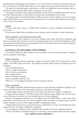purchased their membership card by March 1st, be in at least their second year of membership and have at least three (3) NPRA rodeos that year to be approved by special board of directors action.

3.In order for a bareback horse, saddle bronc, or bull to be eligible for year-end awards, the animal must be drawn into an NPRA rodeo performance six (6) times.

4.Any approved NPRA stock contractor qualified to bring stock to the NPRA finals must own and have their registered (hair-overed) brand on animals that are nominated for the finals.

5.No animal unless owned and branded by NPRA contractor will be eligible, nor can be nominated for NPRA finals or year-end awards. If the animal has a fresh brand, the contractor must provide a bill of sale for the animal.

#### Lessors

1.Anyone who leases stock to a NPRA stock contractor or rodeo committee must purchase a lessor card.

2.Lessors may submit bids to qualified stock contractors or by invitation to rodeo committees.

#### Barrier Equipment and Timed Event Chute Help

1.Committee or stock contractor will ensure adequate neck ropes and barrier equipment and timed event chute help. The fine for not having adequate neck ropes and barrier equipment will be one hundred fifty (\$150) dollars per performance. Fine will be assed assessed to the stock contractor. (Submitted by John Schoorl 2017)

#### **4.JUDGES, SECRITARIES AND TIMERS**

The Board of Directors shall maintain a list of members of the Association Judges Committee who are qualified rodeo judges.

#### Judges Committee

The Non-Contesting Director shall select a Judges Committee which will be responsible to assign judges to all NPRA approved rodeos. The Judges Committee shall include the following nine (9) members:

•Non-contesting director;

•One (1) rough stock director;

•One (1) timed event director;

•The at-large director;

•One (1) contractor director;

•One (1) committee director; and

•Three (3) "A" list judges selected by the non-contesting director.

#### Rodeo Assignments

1.The Judges Committee shall develop procedures to insure that the assignment of judges is consistent with the interests of all contestants, contractors, committees and judges.

2.A three-judge system consisting of two (2) rough stock and one (1) flagger is mandatory.

3.Judges shall be assigned to all NPRA rodeos of the current season. Judges with the most experience will be given seniority as to the number and size of rodeos assigned.

4.Notice of assignments shall be sent to all judges and to the NPRA office as soon as they have been made. A list will be sent to the stock contractors and committees of assigned judges for their rodeos. Changes to the list will be made available to appropriate people.

5.Judges shall contact the non-contesting director within fifteen (15) days of notification for reassignment if they are unable to fulfill any assignment.

6.Any emergency situations will be handled at the discretion of the non-contesting director.

7.In the event three (3) qualified judges are not present at an association approved rodeo, judges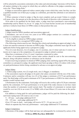will be selected by association contestants at the rodeo and selected judges' decisions will be final in all matters relating to the contest in which they are called to officiate or the judges committee may waive the "Three-Judge Rule."

8.Judges at association approved rodeos cannot judge events which they enter, but they can hire a qualified member out of their pay to judge as a substitute, provided the substitute is not entered in that event.

9.When someone is hired to judge or flag he must complete each go-round. Failure to comply will mean a fine, the amount set at the discretion of the board of directors with a minimum of \$25.

10.In order to be qualified for the finals rodeo, a judge must have purchased a non-contesting membership card by March 1st, be an "A" judge, be in at least his/her second year of membership and have worked at least three (3) NPRA rodeos in that position that year.

#### Judges Qualifications

1.Judges must be NPRA members and association approved.

2.Attendance, one out of every two years at an NPRA judges seminar (or a seminar of equal quality) is a mandatory requirement.

3.To be eligible to attend an NPRA judges seminar:

•Must previously be a recognized NPRA judge, or;

•The following criteria must be met. Meeting this criteria and attending an approved judge's clinic does not sanction someone to become an NPRA judge. The judges committee must sign off on all applicants before being approved as a prospective judge.

•Two (2) event directors, two (2) judges, one (1) secretary, one (1) timer and one (1) stock contractor are to sign as to the competency of a prospective judge to attend a seminar.

•Must have a minimum of two (1) years' experience connected to rodeo.

•A letter of recommendation from various rodeo entities should be sent to the non-contesting director, along with phone numbers so references can be checked.

4.Upon receiving acceptance to attend an NPRA judging clinic and being signed off by the judges committee as a prospective judge, the applicant must back-up judge at three (3) rodeos with at least six paid performances before being considered to advance as an approved judge.

#### Judges Salary

1.A three-judge system, two (2) rough stock, one (1) flagger, is mandatory.

2.The association expects all judges to be paid a fair salary consistent with the size of the rodeo. Contractor and/or committee will pay two (2) of the judges a minimum of \$175 per performance each. The third judge will be paid a minimum of \$175 per performance or \$200 if no slack when the number would warrant slack.

3.Performance by the contestants. Each judge will receive the cowboy split of \$.20 per contestant paid by the contestants. \$175 per performance is to be paid if the rodeo chooses to not have slack when the number of contestants would warrant slack. The number of contestants to warrant slack would be over ten (10) in an event (12 in WBR) with at least fifteen (15) extra runs in the performances.

4.In addition to being paid for each performance, judges will be paid the following for slack – each team roping team will count as one (1) run:

 $\cdot$ 1 – 69 runs – each judge additional \$125

 $•70 - 125$  runs – each judge additional \$175

•Over 125 runs in slack – each judge will receive  $$175 + $1$  per run over 125

•Slack on separate day from any performance – each judge additional \$175 minimum

#### Judges Competency

1.Decisions of the judges will be final and may not subsequently be overturned by action of the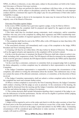NPRA, its officers or directors, or any other party, subject to the procedures set forth in the Contestant Grievance or Director Grievance sections.

2.Any judge, who does not perform his duties in compliance with these rules, or who otherwise abuses his position, will be subject to disciplinary action by the NPRA. Penalty for such improper conduct shall be a minimum fine equal to the judge's pay for one performance of that rodeo and/or ineligibility to judge.

3.In the event a judge is shown to be incompetent, his name may be removed from the list by a majority vote of the Board of Directors.

#### Grievance Procedure against Judges

In the event a NPRA member has a grievance against a judge, it may be filed as follows:

1.A letter detailing the complaint shall be prepared and signed by the aggrieved party within fifteen (15) days of the incident.

2.This letter shall then be circulated among contestants, stock contractors, and/or committee members who may join in the complaint by adding their signatures and NPRA membership numbers. The minimum number of required signatures shall be five (5) and they must have witnessed the incident.

3.The complaint shall then be sent to the NPRA office with a \$50 deposit no later than thirty (30) days following the judge's actions.

4.The association secretary will immediately mail a copy of the complaint to the Judge, NPRA President and Non-Contesting Director.

5.A hearing will then be set within thirty (30) days before by Board of Directors. The judge, as well as the aggrieved party and signatories to the complaint will be invited to attend.

6.In the event the grievance is sustained, the Board of Directors shall take whatever action is justified, including a fine, suspension or both. The \$50 deposit will then be returned to the complainant. In the event the grievance is denied, the \$50 deposit shall be retained by the NPRA and be deposited into the general fund.

7.In the event that a contestant, contractor or committee feels an assigned judge fails to perform his duties adequately, a written complaint may be submitted to their representative on the Judges Committee.

8.The Judges Committee representative is responsible to investigate the circumstances of the complaint, and submit in writing the information about the incident. This submission may or may not contain the names of the affected contestant, contractor, or committee, at the discretion of those involved.

9.The Judges Committee representative shall not submit a written complaint unless he/she feels the complaint has merit and warrants further action.

10.When a written complaint is received by the Non-Contesting Director, the Judges Committee shall conduct a hearing with the judge as soon as practical. At the conclusion of the hearing, the judge shall be dismissed from the meeting and the Judges Committee shall determine the appropriate action and inform the judge in writing of its decision.

11.This written decision shall include information detailing what is required of the judge to correct the deficiencies in his/her performance. He/she will not be eligible to perform further judging assignments until the requirements are met.

#### Judges Duties

1.Judges will be required to arrive at the rodeo and check in with the rodeo secretary at least four (4) hours prior to the first performance or slack, whichever occurs first, of the rodeo. Rodeo secretary is to record time of arrival on the judge's report and submit it to the NPRA office. Extenuating circumstances will be considered upon notification to rodeo secretary or fellow judge. Failure to comply will result in a \$50 fine.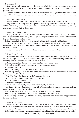#### Drawing Stock

1.Rough stock shall be drawn no more than two-and-a-half (2.5) hours prior to a performance, at least two (2) judges, the rodeo secretary, and contractor, but no less than two (2) hours before the performance.

2.No more than two (2) hours prior to the performance or slack, judges must draw for all timed event cattle at the rodeo office, or post where the draw will take place in case of inclement weather.

#### Judges Equipment and Use

1.Judge shall provide own equipment – stop watch, flags, pencils, flagging horse, etc.

2.Judges and field flag judge shall be required to carry a stop watch and time the bareback riding, saddle bronc riding, and bull riding for eight (8) seconds, the tie down roping for six (6) seconds, and the cow milking for five (5) seconds.

#### Judging Rough Stock Events

1.In rough stock events, animal and rider are scored separately on a basis of 1–25 points on rider and 1-25 points on the animal using the full spread. The points of both animal and rider to be added together thus indicate the final score.

2.Rough stock judges shall throw brightly colored flags to indicate disqualifications.

3.The field flagger shall be behind the bucking chute during the bareback riding, saddle bronc riding and bull riding to watch for fouls and field violations by riders. The field flagger will also flag the start, if needed.

4.Judges are required to make and post duplicate copies of their score sheets.

#### Judging Timed Events

1.Animals for timed event will be inspected for ear tag number and appropriate brands, (right side for team roping cattle and left side for steer wrestling cattle), and that team roping cattle and steer wrestling cattle are the same sex herds – steers or heifers.

2.Rough stock judges shall serve as a barrier judges during timed events.

3.Brightly colored flags shall be thrown to indicate barrier penalties.

4.Flag judge positions:

•Tie Down Roping – Down the arena to the roper's left

•Breakaway Roping – Down the arena on the side of the roper from which the rope is fed so the flag is clearly visible when the rope breaks away

•Steer Wrestling – On the steer wrestler's side near the barrier

•Team Roping – On the header's side near the barrier

•Cow Milking – In the finish circle

5.Barrier and third judge positions:

•Calf Roping – Barrier judge on pin side and third judge point line

•Breakaway Roping – Barrier judge on pin side of barrier and third judge down arena across from flagger to watch for clean head catches

•Steer Wrestling – Barrier judge on pin side and third judge on hazer's side

•Team Roping – Barrier judge on pin side and third judge on heeler's side

•Cow Milking – Barrier judge at barrier and third judge down arena across from flagger to watch for field violations.

#### Judging Barrel Racing

1.Judges shall learn to operate the electric eye. They shall be at the rodeo at least two hours before the rodeo to set barrels and timer markers. Markers shall be set to be as permanent as possible.

2.Judges will be required to re-measure the barrel markers if there is a question about the course.

3.During the barrel racing event, rough stock judges shall be available to determine any irregular-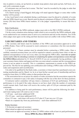ities in pattern or arena, set up barrels as needed, keep pattern clean (pick-up hats, bell boots, etc.) and verify contestants at gate.

4.Contestants may not loose hat in arena. "Hat fine" must be recorded by the judge in order that a fine may be assessed.

5.If a barrel racing is hand flagged, field judge will stand opposite flagger or some other visible marker will be posted.

6.Any local barrel event scheduled during a performance must be placed in schedule of events after the NPRA barrel race event. Barrels must be placed a minimum of fifteen (15) feet (if possible, twenty (20) feet) from NPRA barrel markers. It is the judges' responsibility to assure that this is done.

#### Rule Clarification

1.If rules are not in the NPRA rulebook, judges must refer to the PRCA/WPRA rulebook.

2.In the event a situation arises during a rodeo which is not covered by the NPRA rulebook, judges are authorized to use common sense to arrive at a conclusion and rule on the situation. Two of the other judges must agree on the ruling and their decision must not conflict with written NPRA rules.

#### **5.SECRETARIES AND TIMERS**

1.The secretary and timers must be members of the NPRA and association approved to work a NPRA Rodeo. Fines will be assessed to stock contractors or committees who hire non-member personnel.

2.A Secretary or Timers seminar must be attended before contracting a NPRA rodeo. Once a certified, seasoned secretary/timer you will be required to attend a secretary/timer clinic or take an updated correspondence review test every other year through the NPRA office. must take an update course yearly either by attending a seminar or completing the update correspondence course through the NPRA Office.(submitted by D. Howell 8/2019) If you are consistently having problems with your secretary/timers duties and paperwork then you must attend a seminar and the correspondence course is not an option to recertify. This is a mandatory requirement to remain on the NPRA approved list. The fine for not updating your certification and working a NPRA rodeo will be \$250 per rodeo and suspension until recertification.

3.In order to be qualified for the finals rodeo, a secretary or timer must have purchased a non-contesting membership card by March 1st, be in at least his/her second year of membership and have worked at least three (3) NPRA rodeos in that position that year.

4.The association has no set prices for salaries of rodeo secretaries but the association expects the committee or contractor to pay a fair salary in keeping with the size of the show for these positions.

5.Contractor and/or committee will pay timers a minimum of \$125 per performance. \$150 per performance is to be paid if the rodeo chooses to not have slack when the number of contestants would warrant slack. Each timer will receive the cowboy split of \$.20 per contestant paid by the contestants.

6.In addition to being paid for each performance, timers will be paid the following for slack – each team roping team will count as one (1) run:

•1-69 runs – each timer additional \$100

•70-125 runs – each timer additional \$125

•Over 125 runs – each timer will receive \$125 plus \$.75 per run over 125 runs.

•Slack on a separate day from any performance – each timer additional \$125.

#### Rodeo Secretary

1.To become an approved secretary:

•Must attend an approved secretary's seminar.

•Must assist an approved secretary at three (3) NPRA rodeos with at least six paid performances.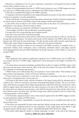•Must have a minimum of two (2) years' experience. Experience can be gained at junior or high school rodeos, jackpot events, etc., and

•A letter of recommendation from one (1) NPRA stock contractor, one (1) NPRA approved secretary, and one (1) NPRA judge must be submitted to the NPRA board of directors.

2.Must have workable knowledge of the NPRA rulebook.

3.Cooperate with local committee by providing information necessary for day sheets and provide results for committee's records and publicity.

4.Work with Rodeo Connection in receiving entries and turnouts. Rodeo Connection judges/timers sheets must be posted at all NPRA rodeos with changes marked and explained.

5.Late entries may be taken by the rodeo secretary prior to the draw of a performance to fill a performance. Late entries will not be taken in slack.

6.Rodeo secretaries are required to call Rodeo Connection for turnouts.

7.Assist judges with draw and see that draw is posted promptly.

8.Accept entry fees; assign placings and complete payoff.

9.See that scores and times are posted promptly.

10.Rodeo results and turnout sheet and any other fines assessed are due by 2:00 p.m. the day following the last performance. All reports and records will be mailed to the NPRA office the second business day following the last performance. The fine for late results and/or reports, turned into the NPRA office and/or Rodeo Connection office, will be \$25 for the first infraction.

11.If the rodeo secretary's books are not returned to the NPRA secretary in complete form, i.e. (personnel verified, stock verification, lessor verification, contestant checks, and judges reports) in the designated time line per NPRA Rulebook, the Rodeo Secretary will be liable to a fine not to exceed \$1000.

#### Timers

1.New applicants must submit an application signed by one (1) NPRA timer, one (1) NPRA arena secretary and one (1) NPRA judge. Application will be presented to the Judges Committee for approval.

2.An intern timer must back-up behind a qualified timer at three (3) approved NPRA rodeos. (He) She must turn the timer's sheets into the office at the end of the rodeo to be sent to the NPRA office for evaluation of correctness and accuracy.

3.While timers are in official duty they are required to wear western attire. That includes a long sleeve blouse and long pants. Choice of footwear and hat are optional.

4.Timers must prove satisfactory at any show to members contesting at that show. In case the timers prove incompetent they can be removed.

5.All times in the timed events with the exception of the barrel racing shall be obtained and recorded to the 1/10th of a second by each timer using hand-held digital watches. The two (2) timers' times shall then be averaged with no digits being ignored to obtain the final time. Each timer's sheet shall be signed, dated, and turned into the rodeo secretary to be sent to the NPRA office. If one of the timers does not obtain an accurate time, a line shall be entered for her time and the other timer's time shall be used as the final time. All final average times shall be posted by the two timers after verifying penalties with the judges.

6.All electronic equipment used to time events must be approved by the NPRA Judges Committee and operated by approved NPRA timers.

7.It shall be the timers' responsibility to assure the electronic eye is available and ready for the barrel racing event.

8.The timers are responsible for their times and final official average times and have the right to use or not use the equipment paid for by the committees. If the reader board is not official, a sign should be posted with the timer's sheets – READER BOARD NOT OFFICIAL TIME.

9.The timers shall signal by buzzer or whistle indicating "no-time" at the end of the following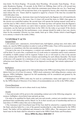time limits: Tie Down Roping—30 seconds; Steer Wrestling—60 seconds; Team Roping—30 seconds; Breakaway Roping—30 seconds. In the Wild Cow Milking, there will be a 60 second time limit, to be signaled by a buzzer, after which the contestants must release the cow. In a "head mug" only rodeo there will be a 90 second time limit, to be signaled by buzzer, after which the contestants must release the cow. Timers shall be required to signal by a buzzer if the time has exceeded the sixth (6th) place time.

10.In the barrel racing: electronic timer must be backed up by the flagman who will stand directly behind one electric eye in the arena. One (1) timer will record the times in 100th's that appear on the electric-eye-controlled readout, the second timer will operate the backup manual watch and record the time in 10th's which is shown thereon. The back-up timer will operate from the flagman's signals. When using an electric eye and it fails to operate correctly for more than half of the total contestants, use the back-up recorded times in the 10th's for the rodeo or go-round. If the electric eye fails to work during the first performance, every attempt should be made to have any electric timer for the remainder. (Electric eye time stands, back up to 10ths.) Rodeo which is hand flagged in its entirety is timed to the tenths (10ths).

#### **7.CONTRACT ACTS**

#### General Rules

1.All contract acts---announcers, clowns/barrel men, bull-fighters, pickup men, trick riders, drill teams, etc. must be NPRA members in order to work an NPRA rodeo. Fines will be assessed to stock contractors or committees who hire non-member personnel.

2.Except in the case of an emergency, a contract acts member who fails to appear as contracted will be fined. To avoid a fine, a minimum two (2) week notice to committee and/or stock contractor of inability to fulfill contract will be required. Failure to do so will result in a fine in the amount of the contract plus \$100 for the first violation and doubling for each offense thereafter. The board of directors will suspend, for a minimum of one (1) rodeo season anyone found guilty of the same infraction more than three (3) times. Fines to be imposed even though "last minute replacement" is found.

#### Bullfighters

1.Bullfighters seeking approval for full membership in the NPRA must bring letter of recommendation from two (2) of four (4) sources: NPRA stock contractors, bull riding director, contract acts director, NPRA bullfighter. Approval for full membership will be considered and granted by the NPRA board of directors.

2.Bullfighters with NPRA cards may be used on a probationary status until approval or denial by the NPRA Board of Directors if two letters of recommendation are on file in the NPRA office.

#### Clowns/Barrelman

Clowns/barrel men are not to abuse stock in any fashion.

#### Awards

1.Year-end awards will be given to the outstanding contract acts in the following categories: announcer, bullfighter, clown/barrel man and pick-up man.

2.In order to be qualified for finals rodeo and year-end awards, contract acts members must have purchased their membership card by March 1st, be in their second year of membership and have at least three (3) NPRA rodeos that year in that position.

3.The Announcer and Clown/barrel man Of the Year shall be selected by a separate ballot from the finals selection ballot by a vote of the general membership by a date determined by the NPRA board. The ballot will be published and returned to the NPRA office. The announcer and clown/ barrel man for the finals shall be selected as stated in the NPRA Finals Rules and Procedures.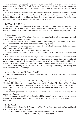4.The bullfighters for the finals rodeo and year-end award shall be selected by ballot of the top (number as stated in the NPRA Finals Rules and Procedures) bull riders and the stock contractors providing stock for the finals rodeo. Each bullfighter selected for the finals will each receive a finals buckle.

5.The pickup men for the finals rodeo and year-end awards shall be selected by ballot of the top (number as stated in the NPRA Finals Rules and Procedures) rough stock riders in the bareback riding and in the saddle bronc riding and the stock contractors providing stock for the finals rodeo. Each pickup man selected for the finals will each receive a finals buckle.

#### **8.AWARDS/POINTS**

The association will present awards to the winners of each of the nine main events for the rodeo season determined by money won at NPRA rodeos. Awards presented to the Men's All Around winner, the Women's All Around winner and Rookie awards will be determined by the point system.

#### General Rules

1.All money earned at NPRA prime rodeos and co-sanctioned rodeos will count towards year-end standings and toward finals qualifications.

2.Members shall receive one point for every dollar won including short-go monies and day monies. All-Around and Rookie points will be based on the long-go only.

3.Point earnings toward championship awards will be tabulated beginning with the first rodeo after membership has been established.

4.Late entry winnings will not be tabulated in the standings.

5.Money won in local events that do not follow NPRA rules will not count toward year-end awards.

6.In order to receive year-end awards, recipient must either be present at the convention or send a letter of appreciation and have a representative of his/her choice pick up the award. If neither of these are done the award will be shipped to the recipient COD with a \$50 shipping and handling charge to be paid before next year's membership or competition.(submitted by D. Bain 2018)

7.Money won heading will count toward the heading standings, and money won healing will count toward the healing standings.

#### All-Around Cowboy and All-Around Cowgirl

1.A contestant must place in at least two  $(2)$  events to be eligible for an All-Around Championship.

2.Point System:

**One go-round rodeo under \$500 added**:1st  $-24$  points;  $2nd - 21$  points;  $3rd - 18$  points;  $4th -$ 15 points;  $5th - 12$  points;  $6th - 9$  points;  $7th - 6$  points;  $8th - 3$  points;  $9th - 2$  points;  $10th - 1$  point.

**\$500 or more added in one go-round rodeo is:**1st – 34 points; 2nd – 31 points; 3rd – 28 points;  $4th - 25$  points;  $5th - 22$  points;  $6th - 19$  points;  $7th - 16$  points;  $8th - 13$  points;  $9th - 12$  points;  $10th - 10$  point.

**Two or more go-rounds:**1st – 8 points;  $2nd - 7$  points;  $3rd - 6$  points;  $4th - 5$  points;  $5th - 4$ points; 6th – 3 points.

3.Points awarded for the NPRA finals rodeo will be awarded per go-round and the average as follows:  $1st - 24$  points;  $2nd - 21$  points;  $3rd - 18$  points;  $4th - 15$  points;  $5th - 12$  points;  $6th - 9$  points.

#### Rookie Awards

Qualifications for Rough Stock Rookie of the Year, Timed Event Rookie of the Year and Barrel Racer Rookie of the Year are as follows:

1.First year member, in good standing, with the most points for the current year.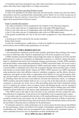2.Contestant cannot have belonged to any other rodeo association or an association co-approving rodeos other than Junior, High School or College associations.

#### Contract Acts and Non-contesting Member Awards

In order to be qualified for the finals rodeo and year-end awards, contract acts and non-contesting members must have purchased their membership card by March 1st, be in their second year of membership in that role and have at least three (3) NPRA rodeos in that year in that position or be approved by special board of directors action.

#### Rodeo Committee Recognition

1.Six rodeo committees will be recognized by the members in the following categories:

a.One (1) fair rodeo and one (1) independent rodeo with under \$500 added money,

b.One (1) fair rodeo and one (1) independent rodeo with \$500 up to \$900 added money, and

c.One (1) fair rodeo and one (1) independent rodeo with over \$900 added money.

d.The general membership will vote on the best rodeo recognition at a time determined by the board.

e.Awards given will be selected by the awards committee.

Rodeo Stock Awards

In order for a bareback horse, saddle bronc, or bull to be eligible for year-end awards, the animal must be drawn into an NPRA rodeo performance six (6) times.

#### **9.OFFICIAL NPRA RODEO RULES**

1.All contestants are required to read the rules carefully, particularly those relating to the contest or events in which they enter. Failure to understand rules will not be accepted as an excuse.

2.NPRA members and permit holders acknowledge that rodeos are dangerous activities and that participation in a rodeo as a competitor, an independent contractor, or volunteer, exposes the participant to a substantial and serious risk of property damage, personal injury or death. NPRA members and permit holders acknowledge that participation in NPRA-sanctioned rodeos will involve such a hazard. Being fully aware that participation in NPRA-sanctioned rodeos will expose said member or permit holder to substantial and serious risk of property damage and/or personal injury or death, said member or permit holder hereby releases the NPRA, NPRA sponsors, any NPRA-sanctioned rodeo production entity, their affiliates, related or subsidiary companies, and the officers, directors, employees, and agents of each entity or organization from liability for any and all property damage, personal injuries or death or other claims arising from participation in NPRA-sanctioned rodeos, including claims that are known and unknown, foreseen and unforeseen, future, or contingent. NPRA members and permit holders shall not now, or at any time in the future directly or indirectly, commence or prosecute any action, suit or other proceeding against the before-mentioned arising out of or related to the actions, causes of actions, claims and demands hereby waived, released or discharged by NPRA member or permit holder. This provision shall be binding upon each NPRA member or permit holder, his or her spouse, legal representatives, heirs, successors and assignees.

3.The NPRA reserves the right to reject the entry of any contestant who has violated the rules, been dishonest in competition, or has proven to be undesirable in any recognized rodeo contest.

4.Late entries may be accepted before the draw to fill a paid performance only. If late entries are accepted in timed-events, late entries will run after local entries and prior to Rodeo Connection's draw entries, except in the barrel racing where local entries will run last and late entries will run after the last Rodeo Connection drawn contestant for the performance.

5.Contestants entered in a rodeo performance are to receive passes for their spouse and children for that performance. Passes are limited to the number of dependents indicated on the contestant's membership card. Children must be accompanied by the contestant and/or contestant's spouse. A minor contestant will receive two (2) dependents on their membership card.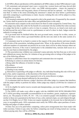6.All NPRA officers and directors will be admitted to all NPRA rodeos on their NPRA director's card.

7.All contestants and personnel must wear a western hat, western boots and long sleeved shirt with collar (exception—barrel racer's shirt—see WBR rules)(exception – timers are required to wear long sleeve blouse and long pants; choice of footwear and hat are optional – see Timers Section Rule 3) while in the arena (including the announcer's stand) one hour before a performance and while competing in a performance or slack. Anyone violating this rule will be subject to a fine, disqualification or both.

8.All mounted contestants shall be required to ride in the grand entry if requested by the committee. Notice shall be posted at the rodeo office and published prior to the rodeo.

9.Contestants must compete on the stock drawn for them in order assigned by Central Entry. Any of the judges may delay this order for the benefit of a contestant who has notified the rodeo secretary or a judge that he/she is unable to arrive in time to compete. However, no timed event stock can be held beyond the end of that event in a performance or end of a draw in slack. Judges retain the authority to arrange splits.

10.A go-round must be finished before the next go-round starts, except for re-rides, reruns, or except for those events when a go-round finishes and the next one starts in the same section of a performance.

11.Contestants must be on hand to contest at the request of the arena director and must comply with all rules of the association, including ground rules. When, in the opinion of the arena director, sufficient numbers of contestants are present for an event, there will be no delay because others are not present. However, if the event is started prior to the scheduled time, turnouts shall occur on a case-by-case basis as determined by the judges.

12.The association may withdraw any contestant's name and entry, bar him from any or all events and withhold any money due him, for violation of any governing rules or rulings of the judges or for any of the following offenses:

a.If name is called three times for competition and contestant does not respond.

b.Refusing to contest on animal drawn for him/her.

c.Being under the influence of alcohol or drugs.

d.Rowdiness

e.Mistreatment of stock

f.Cheating in any manner

g.Altercation or quarreling with judges or officials. Any individual breaking this rule will be subject to fine, and/or suspension, at the discretion of the board of directors.

h.Failure to give assistance when requested to do so by arena director or judges.

i.For any other reason deemed sufficient by the association.

13.A contestant shall not discuss a judge's decision with either judge in a manner that interferes with the judge's ability to perform his duties. Either judge may impose a \$100 fine for violation of this rule.

14.To be eligible for and/or receive awards and championships, you must be an NPRA member in good standing.

15.The NPRA will make every effort to apply with the AMERICANS WITH DISABILITIES ACT (ADA) providing reasonable accommodations to our members, guests, employees, representatives, etc. The purpose of ADA, PL 101—336, is to extend to people with disabilities civil rights similar to those now guaranteed on the basis of race, color, national origin, sex and religion throughout the Civil Rights Act of 1964. It does not require standards to be lowered, but to find alternative ways to accomplish goals. ADA contestants must notify the NPRA office upon purchase of membership and judges at rodeos entered.

16.Entry fees are to be paid before competing, unless prior arrangements have been made with rodeo secretary. Failure to pay entry fee before competing can result in being turned out. Leaving without paying entry fees will be a \$50 fine.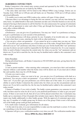#### **10.RODEO CONNECTION**

Rodeo Connection is the central entry system owned and operated by the NPRA. The rules that govern Rodeo Connection are set forth by the NPRA.

1.The entry dates and times will be listed in the Official NPRA Long Listings. Entries are on Tuesday from 10:00 am to 6:00 pm and call backs are on Thursdays 10:00 am to 6:00 pm unless advertised differently.

2.To enable you to enter non-NPRA rodeos also, entries will open 10 days ahead.

3.Because there is no advantage to being the first one entered, you may call any time during the entry hours. An added benefit is that each contestant can take care of his/her business as one sees fit, instead of having to find someone to call for him/her. It is also unnecessary for a group of contestants to call with an agreement to enter each other if they get through first because they will reach the entry office without difficulty.

4.Preferences:

a.Preferences: you can give two (2) preferences. You may use "slack" as a preference as long as you give a performance as your second or first preference.

b.An invalid preference will drop a priority by one. Examples of an invalid entry are: entering for slack when there is none, entering for slack with no other preference.

c.You can give a draw out parameter – if you cannot be up at a certain time you may say "draw out". If you don't get your preference you will be taken out of the rodeo. Rough Stock riders will be allowed to use an "out" preference only three (3) times per year. On the fourth (4th) "out" preference you may be drawn out and would be responsible for the Rodeo Connection fee. It is your responsibility to send to Rodeo Connection the central entry fee when you use the "out" parameter and are drawn out. If you fail to send this fee, the fee may be doubled and/or added to the contestant's next rodeo receipt.

Entry Procedure

During advertised hours, call Rodeo Connection at 503.829.8869 and enter, giving them the following information:

1.Name

2.Card or permit number – when entering other contestants, you must have their card numbers. Anyone without a card number when the books close will be drawn out. If you must ask to obtain the card number, there may be a \$5.00 charge.

3.Events you want to enter.

4.Your preferences – when you want to be up: you can give two (2) preferences with slack as a preference. You can give a draw out parameter – if you cannot be up at a certain time you may say "draw out". If you don't get your preference you will be taken out of the rodeo. It is your responsibility to send to Rodeo Connection the central entry fee when you use the out parameter and are drawn out. If you fail to send this fee, the fee may be doubled and/or added to the contestant's next rodeo receipt.

5.Names of buddies if you wish to buddy. The buddy system guarantees you someone to travel with, but there must be room for all of you in your preferred performance in order to get your preference. If there is not room for all, then all of you will be placed somewhere else. Contestants may buddy up to a maximum of four (4) people (this includes team ropers). Barrel racers and breakaway ropers may buddy additionally to other buddy groups. With the approval of contestant upon entering, one (1) member of a buddy group may be drawn out of the group if their event is full and the rest of the buddy group could get their preference.

6.If a multi-rodeo weekend, give information for all rodeos.

7.At the end of an entry, it is your responsibility to make sure the read-back is correct. It if is not, say something or else the books stand correct.

8.Operator will give you a verification number every time you call. The verification number iden-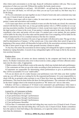tifies where each conversation is on the tape. Keep all verification numbers with you. This is your protection of what you were told. Without this number the books stand correct.

9.It is your responsibility to call back – 503.829.8869 – on call back day from 10:00 am to 6:00 pm. If you miss call backs, we will tell you when you are up if you reach us, but there may be a \$5.00 charge.

10.Two (2) contestants can rope together on one (1) head of stock only and a contestant may rope only one (1) head of stock in one go-round.

11.When a team roper calls to enter a rodeo, he must enter as a team and give the secretary his partner's name and association card number.

12.If a team roper draws out with a medical or turns out after the books are closed, the contestant entered with him/her may draw out, or may get another partner who is a NPRA member or a co-approving association member, for performance or slack; except team ropers who are already entered the legal number of times in the event. If one partner is already entered in the rodeo, he/she will be considered a late entry and points will not count. If a partner gets a new partner, the new partner will be liable for the entry fee at the rodeo and the partner that is not competing will be liable for the Rodeo Connection fee if it is a medical turnout or the fine for a turnout.

13.All ladies and boys fourteen (14) years of age and under will allowed to enter. The age of a boy shall be determined as of January 1 of the current year. A boy must either show proof of age at the beginning of the season which will thereafter be kept on file by the association secretary/treasurer or be able to show proof of age to the rodeo grounds secretary whenever asked.

14.Any boy who enters the association tie-down roping will relinquish his right to compete in the breakaway roping thereafter. A record of any relinquished rights will be kept on file by the association secretary/treasurer.

#### Random draw

1.After entries close, all entries are drawn randomly by the computer and listed in the order drawn. If a Rodeo Connection entry error is discovered at a rodeo, judges will draw affected contestants into the draw order, if appropriate.

2.Multi-eventors will get all their events on the same day which may include slack and a performance.

3.The contestants are then set up at the rodeo according to their preferences as much as possible. 4.Contestants are responsible for determining which performances to give as preferences and they will be accountable if it is an "undriveable."

5.If you are drawn out of a rodeo because your preferences were full when your draw number came up, you will be put on a waiting list for the requested performance. It is your responsibility to check with the on-grounds rodeo secretary to see if there have been any medicals/turnouts for that performance. This must be done before the draw for that performance. The contestant will be placed on the timer's/judges sheet in the turned-out position as "RC drawn out" not as a late entry.

6.Rodeos will have a minimum of 10 timed event contestant's per performance when slack is available unless the committee approves a lower or higher number of contestants per performance.

#### Limited No. of Contestants in Rodeo

1.The bull riding limit is as follows:

a.18 per performance through 3 performances

b.15 per performance through 4 performances

c.14 per performance through 5 performances

d.12 per performance thereafter.

2.If less than 15 contestants enter the bull riding they may receive two (2) head of stock. If more than 15 contestants enter the bull riding they will receive one (1) head of stock. Rodeo committees have the option to limit bull riding to the minimums, or to open the entries to include more contestants than the minimums.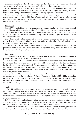3.Upon entering, the top 18 will receive a bull and the balance to be drawn randomly. Current year's standings will be used and balance to be filled with previous year's standings.

4.The bull riding waiting list shall be prepared by Rodeo Connection. Prior to reaching the rodeo grounds the secretary shall use the list as drawn. Contestants on waiting list have priority over contestant not on waiting list and must call the rodeo secretary if possible for turnouts.

5.Upon reaching the grounds, the first NPRA member/co-approving association member bull rider on the grounds who has paid his fees before the bull riding begins shall receive the first turnout bull. Contestants on the waiting list followed by contestants who entered late will have priority and judges will be notified, if possible.

#### Preferences

1.All NPRA card holders will be given preference over non-members at NPRA rodeos. You and your buddies must be a contesting member of the NPRA to be in the highest priority group.

2.In the bull riding at all NPRA rodeos, the top 18 riders who enter will receive a bull. The most current standings will be used to determine the top riders. The remaining entries will be filled by random computer draw.

3.Local contestants will not be guaranteed all their stock on the same day and will have no preference. They will be placed first in all events – except barrel racing where they will go last – in the performance that they have been drawn in.

4.Day permit contestants will not be guaranteed all their stock on the same day and will have no preference. They will be placed first in all events – except barrel racing where they will go last – in the performance that they have been drawn in.

#### Late entries

1.Late entries may be taken by the rodeo secretary prior to the draw of a performance to fill a performance. Late entries will not be taken in slack.

2.Each late entry shall be added to the draw so that all entries contest after local entries, but before Rodeo Connection contestants. Late entries will be added to the bottom of the draw sheet above local entries until the draw is completed. The late entrants will then be moved to the top of the list, after local entrants, so that the last late entry contests first and all late entrants compete before the first contestant on the Central Entry list, except barrel racers who will go after Rodeo Connection contestants, but before local entries.

3.Late entries will be taken from 8:00 am to 10:00 am Wednesday mornings after an entry day for contestants missing the normal entry. A charge of twenty-five dollars (\$25) will be assessed to the late entry, per contestant, which will be increased by twenty-five dollars (\$25) each late entry thereafter. Late entries will be included in the draw and money will count for standings and year end. (9-14-17 D. Bain)

#### Trades

1.The NPRA will use the trade out system to ensure contestants the opportunity to work all rodeos on a multi-rodeo weekend when possible. A contestant may not be moved without legally trading. Trades are made with the rodeo secretary. Trades will be made position for position. Both parties must contact the rodeo secretary to confirm a trade. Trading time limit is prior to the stock draw for a performance or slack.

2.To fill a position which has been a medical out, vet out or turn out, the timed event contestant will be first to compete in those events and the barrel racer will be last to compete – they are trading the performance not the position. This includes trading within a performance.

3.Multi-event contestants shall be allowed to contest in notified turnout positions, provided he/ she has notified the rodeo secretary before the draw and paid before the performance/slack.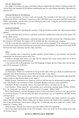#### Fine for illegal trades

Any judge or secretary moving a contestant without a legal trade per trades in rulebook (page 29), will be fined one hundred (\$100) dollars doubling the fine for each offense thereafter. Submitted by Schoorl 2017

#### Turnouts/Medical or Vet Releases

For your convenience, we have a turn out recorder. This recorder is for turn outs, vet outs, and medical outs ONLY. Call Rodeo Connection at 503.8289.8869, give your name (spell the last name), NPRA card number, and the rodeo you are turning out and events. Using the turnout line reduces the amount of the fine for turnouts.

#### Verification/Bonds

If any questions arise regarding the accuracy of the performance sheets, the following procedure applies:

1.If the contestant does not have a call-back verification number that is the end of the matter. The books stand correct.

2.In case of an entry discrepancy, contestant must give the rodeo secretary the verification number and post a \$50 bond. The judges will be notified and the contestant may compete.

3.In the event that the contestant is correct the bond will be refunded. If the contestant is wrong, (incorrect) the bond will be forfeited and contestant will be disqualified. The bond will be split 50/50 between the stock contractor and the rodeo secretary.

#### **Other**

1.Any member who is entered by another member, permit holder or non-member, will be held responsible for their fines and/or entry fees.

2.Halfway through entry hours, you may ask the operator how many entries there are so far in your event and what their preferences are.

3.Any person who is disrespectful, uses foul language or hangs up on a rodeo entry service operator will be assessed a \$100 fine.

#### Central Entry Vocabulary

1st Preference: When you would like to be up in the rodeo. (May give slack as a preference but remember that all performances will be filled before there is any slack.)

2nd Preference: Your second choice (May give slack as preference but remember that all performances must be filled before there is any slack.)

Buddy System: Guarantees you someone to travel with but may be detrimental to getting preference. May buddy with maximum of four (4) people. Buddies must give same preference.

Call Back: Rodeo is randomly drawn. You must call back to see when you are up.

Card Number: When asked for card number, give association entering under (NPRA, PWRA, ICA, etc.) and make sure that the number is correct. Example: NPRA C4367

Draw Out Parameter: you may designate at time of entry to be drawn out if you can't get your first or second preference. If you are using the draw out parameter you are required to call back during call-back hours.

Legal Trade: Legal trades are made between drawn positions and empty positions in a performance that has not filled. When trading into an empty position the timed event contestant will go first in that performance, barrel racers will go last. A contestant may never trade into a slack. (Submitted by J. Jardine 2018)

Multi-Eventor: Will get all events in same day unless otherwise requested.

Out if less than?:(increments of ten (10) example: draw out of the tie down roping if less than 20 (twenty) ropers.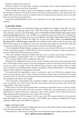Parameter: defined limits allowed

Trade-out Rodeos: On multi-rodeo weekends, contestants will be traded automatically so that they can make all rodeos involved, if possible.

Turnouts/Trade-outs: When a multi-event contestant is unable to trade-out all his/her events, he/ she must pay the entry fee for all the event(s) on the day he/she has traded to. The multi-event contestant shall be allowed to contest on turnout stock, provided he/she has paid the entry fee for that head of stock before the performance.

Verification number:Identifies where each contestant is on the tape. Required in case of a discrepancy.

#### **11.ENTRY FEES**

1.The minimum entry fee in Bareback Riding and Saddle Bronc Riding will be \$50. The minimum entry fee in following timed events: TDR, SW, TR (per man), BKR and WBR will be \$75. The minimum entry fee in the Bull Riding will be \$950.<del>(\$40 of which will go to day money) in an</del> approved performance Rodeos with a \$1000 or over added the entry fee will be \$75. (submitted by A. Crozier 2017)The minimum entry fee in Cow Milking will be \$60. When added money is \$1000 or over the fees will go to \$100 in the TDR, SW, TR (per man), BKR, WBR events and \$75 in the BB, SB and \$75 + \$40 day money in the BR. The committee has the right to raise the entry fees with NPRA Board approval. In addition to entry fees, contestants pay money toward specific funds and for using the central entry system. Those fees are listed at the end of this section.

2.Novice Bareback Riding lifetime earnings may be no more than \$1,500. Entry fee will be \$35. Novice contestant must have a NPRA permit. Novice contestant is allowed to rodeo on permit for one year without the \$500 maximum on a permit.

3.First year members and permit holders must pay cash. A secretary may accept a check from a first year member or permit holder with a "C" card holder's guarantee if he/she chooses.

4.No two-party checks will be accepted for entry fees.

5.Requests for withdrawal from any event or contest and the return of entry fees made prior to the close of the books shall be passed on by the management. After the advertised time for the books to close, no return or charge of entry fees shall be made except in cases of injury, illness or death of the contestant or immediate family member, firefighting, military deployment, or other hardship approved and verified by an appropriate document.

6.No rodeo shall be responsible to return a contestant's entry fee if he/she has contested in an event even once during a show. If the contestant is entered in other events in which he/she is unable to contest, entry fees for those events may be returned at the discretion of the management, provided the exceptions in the above rule 5 apply.

7.The association will guarantee any competing member's entry fees that are in good standing. Any non-member who does not have his entry fees paid by the time the books close will be the responsibility of the rodeo secretary.

8.Entry fees in all events must be paid before contesting on first head of stock or first run, unless arrangements have been made with rodeo secretary. If entry fees are not paid prior to the end of performance in which contestant is competing, a fine will be assessed. If the contestant leaves the rodeo grounds without paying entry fees, a fine will be assessed.

9.Local contestants will be charged a \$10 fee per event. The money collected will go into the finals fund. Barrel racers who are members of the WBRA only will pay an additional \$10 when entering a NPRA rodeo with WBRA co-approval.

#### Judges' and Timers' Fund

1.Each contestant must pay four dollars (\$4) per event to the rodeo secretary when paying their entry fees for the Judges' and Timers' Fund.

2.One dollar (\$1) of this money is the \$ split to be divided between the judges and timers, one dol-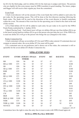lar (\$1) for the third judge, and two dollars (\$2) for the slack pay to judges and timers. The persons who are eligible for this extra money must be NPRA members in good standing. The timers, judges and flagger will still receive their regular pay from the committees.

#### Event Fund

1.Each event director will set the amount of the event funds that will be added to each entry fee per rodeo for the upcoming season. This will be done at the first directors meeting following the finals rodeo. The funds will be used at the discretion of the event director to benefit contestants within the event. The amount of the event fees for the upcoming year is listed in the chart at the end of this section.

2. Five Four-dollars (\$5 4) will be added to each entry fee per rodeo to be used for the NPRA Finals Rodeo.(submitted by J. Jardine 2018)

3.Barrel Racing Fund – Each barrel racer will pay six dollars (\$6) per run (four dollars (\$4) to go to the barrel racing fund/two dollars (\$2) to go to the person who provides the eye). If the NPRA eye is used one dollar (\$1) will go to the person who brings the eye (charged) to the rodeo.

#### Rodeo Connection Fee

1.Each contestant will pay seven dollars (\$7) for each NPRA rodeo entered. If contestant does not compete at entered rodeo, the seven dollar (\$7) fee must still be paid.

2.If a contestant uses an out preference and is drawn out of the rodeo, the contestant is still responsible for the seven dollar (\$7) Rodeo Connection fee.

| <b>EVENT</b>  |       | <b>TIMERS</b> | <b>ENTRY JUDGES/ FINALS</b> | <b>EVENT</b> | R/C | <b>DAY/EYE</b> | <b>TOTAL</b> |
|---------------|-------|---------------|-----------------------------|--------------|-----|----------------|--------------|
| ΒB            | \$50  | \$6           | \$5                         | \$7          | \$7 |                | \$75         |
| BB @ 1000     | \$75  | \$6           | \$5                         | \$7          | \$7 |                | \$100        |
| SB            | \$50  | \$6           | \$5                         | \$7          | \$7 |                | \$75         |
| SB @ 1000     | \$75  | \$6           | \$5                         | \$7          | \$7 |                | \$100        |
| <b>RBR</b>    | \$75  | \$6           | \$5                         | \$7          | \$7 |                | \$100        |
| BR            | \$50  | \$6           | \$5                         | \$7          | \$7 |                | \$75         |
| BR @ 1000     | \$75  | \$6           | \$5                         | \$7          | \$7 |                | \$100        |
| CR            | \$75  | \$6           | \$5                         | \$5          | \$7 |                | \$97         |
| CR @ 1000     | \$100 | \$6           | \$5                         | \$5          | \$7 |                | \$122        |
| SW            | \$75  | \$6           | \$5                         | \$6          | \$7 |                | \$99         |
| SW @ 1000     | \$100 | \$6           | \$5                         | \$6          | \$7 |                | \$124        |
| TR            | \$75  | \$6           | \$5                         | \$8          | \$7 |                | \$101        |
| TR @ 1000     | \$100 | \$6           | \$5                         | \$8          | \$7 |                | \$125        |
| ${\rm CM}$    | \$60  | \$6           | \$5                         | \$5          | \$7 |                | \$83         |
| <b>BKR</b>    | \$75  | \$6           | \$5                         | \$6          | \$7 |                | \$98         |
| BKR @ 1000    | \$100 | \$6           | \$5                         | \$6          | \$7 |                | \$124        |
| <b>WBR</b>    | \$75  | \$6           | \$5                         | \$4          | \$7 | \$2            | \$99         |
| WBR @ 1000    | \$100 | \$6           | \$5                         | \$4          | \$7 | \$2            | \$124        |
| <b>NOVICE</b> | \$30  | \$6           | \$5                         | \$7          | \$7 |                | \$5          |

#### **NPRA ENTRY FEES**

*Updated 1-30-19*

Committees have the right to raise the entry fees in most events with NPRA board approval.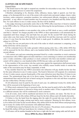#### **12.FINES OR SUSPENSION**

#### General Rules

1.The board reserves the right to suspend any member for misconduct at any time. The member may use the appeal process to contest the suspension.

2.Members attempting to fix, threaten, bribe, influence, harass, fight or quarrel, use foul language, or be disrespectful (in or out of the arena) with central entry personnel, judges, timers, rodeo secretary, rodeo contractor, committee members, law enforcement officials, emergency or medical personnel, or any officer or board member may be assessed a two hundred and fifty dollar (\$250) fine. For each offense in one (1) rodeo season, the fine will be doubled.

3.Any judge choosing to personally send a fine to the NPRA office must have it faxed or emailed to the NPRA office by 2:00 pm the first business day following the last performance, or the fine will be waived.

4.Any association member or non-member who writes an NSF check or uses a credit card/debit card that is "denied" for charges payable to the NPRA or their representative will automatically be suspended until these charges, fine and bank fees are paid. On the second NSF check during the same rodeo year, their name will be placed on a bad check list and they must pay cash for a period of one (1) year from the time that the NSF check is made good. In addition, the member will be subject to a \$25 fine.

5.If entry fees are not paid prior to the end of the rodeo in which contestant is competing, a ten dollar (\$10) fine will be assessed.

6.If the contestant leaves the rodeo grounds without paying entry fees, a fifty dollar (\$50) fine will be assessed for the first offense, and a one hundred dollar (\$100) fine will be assessed for the second offense.

7.All contract acts and non-contesting personnel hired by a rodeo committee or stock contractor in connection with a NPRA approved rodeo shall have a non-contesting or contract acts membership card. A rodeo committee, rodeo producer or stock contractor who hires non-member contract personnel will be subject to a one hundred dollar (\$100) fine per rodeo, per individual hired.

8.Any member of the association who has a grievance against the organization shall present same to the representative of his event. Any member who willfully causes trouble inside or outside the ranks of the association may be fined, suspended, or both.

9.Any member fined for any NPRA association rule infraction will pay double his/her last fine for the same infraction in one (1) rodeo season. The board of directors will suspend, for a minimum of one (1) rodeo season, anyone found guilty of the same infraction more than three (3) times in one season. The unintentional drag rule in tie down roping, Turnouts/Medical Outs, Vet Out or other unintentional fines and lost hat rule in barrel racing are exceptions to this rule and these exceptions are due within thirty (30) days of notice.

10.All infractions must be paid by the end of each year. An additional twenty-five dollar (\$25) fine will be assessed at the beginning of next year.

11.When stock contractor/lessor is assessed a fine, the fine must be paid in full to the NPRA office before said stock contractor is allowed to bring stock to another rodeo. If fine is appealed by board to a different amount, fine will be reimbursed to stock contractor.

12.In all events, stock will be numbered and drawn for by number, not name. The fine for unnumbered stock will be fifty dollars (\$50) per head for the first offense and will double thereafter.

13.Failure to free the hand from the rigging after the eight (8) second ride may result in a fine at the discretion of the judge, pickup man and/or stock contractor. Warning for first offense, twenty-five dollar (\$25) fine for the second offense, fifty dollar (\$50) for the third offense and progressing up in twenty five dollar (\$25) increments with additional offense.

14.All Bull horns must be blunted to the size of a 50 cent piece. The primary stock contractor will be fined fifty dollars (\$50) per head drawn for violation of this rule.

15.All steers will be number-branded on the horn or right side for team roping cattle and left side for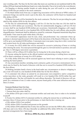steer wrestling cattle. The fines for the first rodeo that steers are used that are not numbered shall be fifty dollars (\$50) per head and doubled per head every rodeo thereafter. Fine to be levied by the event director.

16.Changing or altering number brands on cattle during the year will result in a one hundred dollar (\$100) fine per animal to the stock contractor.

17.No black-balled stock from any co-approving association will be allowed at NPRA rodeos. If contractor brings one and the stock is put in the draw, the contractor will be fined two hundred and fifty dollars (\$250).

18.Barrier box pads will be furnished by the stock contractor. The fine for not providing box pads shall be fifty dollars (\$50) for the first offense.

19.The fine for unintentionally dragging a calf five (5) feet but less than ten (10) feet shall be twenty-five (\$25) dollars per occurrence. The fine for unintentionally dragging a calf ten (10) feet or more shall be one hundred (\$100) dollars per occurrence. Intentionally dragging a calf, regardless of distance, shall result in a two hundred fifty (\$250) dollar fine for each offense, plus possible disqualification. Intentional shall be defined as caused by contestant. Repeated intentional drag fines will double. Fines must be paid within thirty (30) days.

20.A Contestant's appearance must be neat, clean, and professional. Any contestant whose appearance is deemed unprofessional will be fined at the discretion of the Board of Directors. The fine will be up to one hundred (\$100) dollars. Contestants must wear pants, long sleeve shirt, western hat and western boots for all rodeo performances and slack.

21.A twenty five (\$25) dollar fine will be assessed for excessive jockeying of horse or circling after entering the arena. You must proceed through the gate in a forward motion to position, turn and go. One (1) 360 degree turn/circle is permitted.

22.There will be a fifteen (\$15) dollar fine for losing hat in the arena during a barrel run.

23.Anyone setting the barrels on the official markers and practicing or working horse on pattern will be fined a minimum of twenty five (\$25) dollars.

24.A fifty dollar (\$50) fine will be assessed against any barrel racer refusing to assist a judge in marking the barrel pattern.

25.Any association member, including stock contractor, guilty of excessive mistreatment of livestock may be fined by the board of directors with fine not to exceed five hundred (\$500) dollars for the first offense.

26.Striking (includes hand) a horse in the head under any circumstances or abusive whipping in any event will result in a one hundred (\$100) dollar fine for the first offense.

27.A contestant who abuses an animal by an unnecessary non-competitive and/or competitive action (anywhere on the rodeo grounds) will result in a two hundred fifty (\$250) dollar fine and/ or disqualification. The fine will double for each offense thereafter. The board of directors will suspend, for a minimum of one (1) rodeo season, anyone found guilty of the same infraction more than three (3) times.

Turnouts/Medical Outs/Vet Outs

In addition to payment of entry fees:

1.Turnout fines per-rodeo shall be:

a.Ten dollars (\$10) (per event) if contestant notifies and send entry fees to rodeo to be included in payoff.

b.Twenty five dollars (\$25) if contestant notifies by calling the turnout line or notifying the rodeo secretary three (3) hours prior to the performance or slack that he/she is turning out.

c.Fifty dollars (\$50) if not notified.

d.Fifty dollars (\$50) if notified and present on the grounds.

e.Fifty dollars (\$50) additional fine if entry fees and fine are not into the NPRA office within thirty (30) days and every thirty (30) days thereafter an additional fifty dollar (\$50) fine will added until payment arrangements have been made.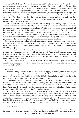1.Medical/Vet Release – A vet's release may be used by a barrel horse only. A contestant may doctor/vet release a rodeo in one or more events in a rodeo, thus waiving obligation for entry fees and turn-out fines if the contestant notifies the Rodeo Connection turnout line or rodeo secretary no later than three (3) hours prior to the performance for which the contestant is scheduled. A doctor verification on doctor's letterhead bearing the doctor's name, address and phone number, signed by a licensed doctor or other verifiable written evidence must be received by the NPRA office within seven days of the date of the rodeo. If a contestant draws out with a medical, the family member (minor child or spouse) entered at that rodeo may draw out without penalty. Rodeo Connection fees must be paid by all drawn out contestants.

2.Visible Injury or Illness – A contestant may "visible injury" thus waiving obligation for turnout fines if the contestant notifies the judge and rodeo secretary no later than three hours prior to the performance for which the contestant is scheduled. A Visible Injury/Illness Form is to be completed by a judge only if there is an obvious injury or illness. The form with the entry fees will be given to the rodeo secretary. The fees will be paid out at that rodeo. The completed form will be sent to the NPRA office with other reports. A visible injury may be used only for the rodeo where the form is signed. The contestant shall remain eligible to enter or compete in any NPRA rodeo following the performance which he has turned out because of a paid visible injury or illness.

3.Any contestant using a medical release from competition cannot participate in any other association approved competition for ten (10) days after the first turned-out performance. Any contestant using a vet release cannot participate in any other association approved competition on said horse for three (3) days.

4.Non-medical/vet turnout will result in contestant paying entry fees and a turnout fine. During a rodeo year, a contestant may use two (2) excused turnouts (medical and vet releases) per year. Excused turnouts can be a combination of two (2) medicals, two (2) vet releases or one (1) medical and one (1) vet release. The board of directors will review extenuating circumstances requiring additional medical and vet releases.

5.Fee for a medical or vet out will be ten dollars (\$10) per entered rodeo, payable to the NPRA, in addition to seven dollar (\$7) Rodeo Connection fee. Total due for any medical or vet out will be seventeen dollars (\$17).

#### Other Fines

1.Bareback Riding – Failure to free the hand from the rigging after the eight (8) second ride, at discretion of the judge, pickup men and/or stock contractor. Warning for first offense, twenty-five dollar (\$25) fine for the second offense, fifty dollar (\$50) for the third offense and progressing up in twenty-five dollar (\$25) increments with each additional offense.

2.Team Roping Partner Draw Out – If a team roper draws out with a medical or turnout after the books are closed, the contestant entered with him/her may draw out, or may get another partner who is a NPRA or co-approved association member, for performance or slack. The new partner will be liable for the entry fee at the rodeo and the partner that is not competing will be liable for the Rodeo Connection fee with a medical or the fine for a notified turnout.

3.After entering the FINALS RODEO the contestant is responsible for their entry fees unless the position can be filled prior to the first performance. To fill the position the contestant must notify the NPRA office so the next eligible contestant by order of point standings that has entered the FINALS RODEO can be offered the position. Vet or medical releases will not be accepted as a release of payment of fees. Payoffs will be based on the number of entries at the close of entries. The NPRA will guarantee the entry fees at the FINALS RODEO ONLY based on the number of entries at the time the books closed.

#### Appeal Process

Any member who has been fined or suspended may submit a written request for a hearing before the board of directors and posting a bond of not less than fifty dollars (\$50) with the secretary/trea-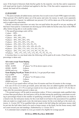surer. If the board of directors finds him/her guilty by the majority vote the fine and/or suspension will stand and the bond is forfeited and applied to the fine. If the fine and/or suspension are overturned, the bond will be refunded.

#### **13.PAYOFF**

1.The purse includes all added money and entry fees in each event of each NPRA approved rodeo. Three percent (3%) shall be taken out of the purse and entry fee money in each event separately before the payoff is figured. An additional one percent (1%) will be taken out of the total purse for each co-approving association.

2.Rodeo secretaries must draw out entry fees not paid before the payoff to not pay anything off that hasn't been paid in. Contestants not showing up will be liable for his/her entry fees to the NPRA office before being able to work another rodeo.

3.The payoff percentage scale will be:

- •1 place  $-100%$
- •2 places  $60\%$ ,  $40\%$
- •3 places 50%, 30%, 20%
- •4 places 40%, 30%, 20%, 10%
- 5 places  $30\%, 25\%, 20\%, 15\%, 10\%$
- $\bullet$ 6 places 29%, 24%, 19%, 14%, 9%, 5%
- $\bullet$ 7 places 26%, 22%, 18%, 14%, 10%, 6%, 4%
- •8 places 23%, 20%, 17%, 14%, 11%, 8%, 5%, 2%
- •9 places 20%, 17%, 15%, 13%, 11%, 9%, 7%, 5%, 3%
- •10 places 19%, 17%, 15%, 13%, 11%, 9%, 7%, 5%, 3%, 1%

4.Anytime there is a one-head rodeo the following will be paid in all events. (Total Purse is after percentage is taken out):

#### **All events except Team Roping**

| •Up to $$499$                                                   | 3 places                                 |  |  |  |  |
|-----------------------------------------------------------------|------------------------------------------|--|--|--|--|
| $\$500 - \$1999$                                                | 4* places *or 20 tie-down ropers or less |  |  |  |  |
| $\$2000 - \$4499$                                               | 6 places                                 |  |  |  |  |
| •\$4500 and over                                                | 8 places                                 |  |  |  |  |
| Team Roping Payoff per Team (divide by 2 to get payoff per man) |                                          |  |  |  |  |
| $\cdot$ Up to \$999                                             | 3 places                                 |  |  |  |  |
| $\$1000 - \$3999$                                               | 4* places *or 20 teams or less           |  |  |  |  |
| $\$4000 - \$8999$                                               | 6 places                                 |  |  |  |  |
| •\$9000 and over                                                | 8 places                                 |  |  |  |  |
|                                                                 |                                          |  |  |  |  |

5.All two (2) go-round rodeos will pay four (4) monies and four (4) monies in the average.

6.In case of two (2) or more go-rounds, purse and entry fees are added together and divided 66  $2/3\%$  to day monies, 33  $1/3\%$  to each go-round on two (2) go-round show, and 33  $1/3\%$  for the average after the association percent is taken out.

7.No ground money will be paid at association rodeos. If fewer contestants make qualified rides or times than payoff places, the total purse will be divided among the qualifying contestants according to percentages based on the number of qualifying contestants. If no qualified times are made in a timed event, the total purse money for the event shall revert back to the association.If no qualified rides are made in a rough stock event, the total purse money for the event shall go to the stock contractor. A. Crozier 2017 If no qualified rides are made in the bull riding the total purse money shall be put into the bull riders fund to be used as bonus money at the finals, but the bonus money shall not count toward year end standings. (Submitted by A. Crozier 2017)

8.A contestant must compete in every go-round to be eligible for average payoff.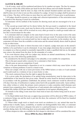#### **14.STOCK DRAW**

1.In all events, stock will be numbered and drawn for by number not name. The fine for unnumbered stock will be fifty (\$50) dollars per head for the first offense and will double thereafter.

2.Rough stock draw shall be done on chips with the animals branded number and name. Draw shall be done out of a hat or non-see thru container by a judge. At least two judges shall be present at time of draw. The draw will be done no more than two and a half (2.5) hours prior to performance.

3.All judges should be present or one judge and a director/representative of the association must be present at the drawing of stock for contestants.

4.Contestants will be notified of the location for drawing stock and are encouraged to be in attendance.

5.The second go-round shall not be drawn before the first go-round is completed in the timed events. In rough stock events, stock may be drawn at the convenience of the contractor, committee, and judge. The draw order will be reversed on every other go-round in a multi-go-round rodeo unless this is inconvenient for the rodeo.

6.A contestant shall not compete on the same head of stock twice in the same event at the same rodeo with the exception of re-rides and re-runs in the same go-round. If contestant draws the same animal and the mistake is not noticed until too late to make the correction via the misdraw rule, the contestant will draw from the available re-ride/extras and the animal initially drawn shall be placed in the re-rides/extras.

7.If an animal in the draw or drawn becomes sick or injured, a judge must pass on the animal's liability to be used before it can be eliminated. At any time judges determine that an animal is unfit to compete on or that an animal is essentially impossible to make a qualified ride/run on, the judges may remove the animal from the draw for the remainder of a rodeo.

8.An event director along with two judges may declare an animal unsatisfactory if the animal meets any one of the following qualifications:

•Is considered by the director and judges to be unhealthy or not suitable for competition;

•Has in the past caused safety concerns for a contestant or their horse;

•Would cause an uneven competition if used;

•Has in the past demonstrated a disposition to act in a manner which may cause bylaw or rule violations or human problems if used in a timed event;

•Does not comply with one or more provisions of the NPRA bylaws or rules or if such animals used would result in a violation of one or more bylaw or rule;

•The stock contractor/lessor has the right to appeal the decision.

9.At a given rodeo the declaration of an animal being unsatisfactory must be done prior to the establishment of the heard for that given rodeo. Should an entire heard be declared unsatisfactory in accordance with the guidelines established, the primary stock contractor would be allowed ten (10) days from day of notification to replace entire herd with acceptable stock/cattle. Upon notification, either written or verbal, the primary stock contractor or rodeo committee shall eliminate such animals from competition draw. Continued use of said animals after notification will result in a two hundred fifty dollars (\$250) per head fine per competition levied against offending party.

10.Animals in the riding events must have been tried at least once before being used in an association rodeo.

11.No black-balled stock from any co-approving association will be allowed at NPRA rodeos. If a contractor brings one and the stock is put into the draw, the contractor will be fined two hundred fifty dollars (\$250).

12."When either rough stock or timed event stock are misdrawn (i.e. any animal that must be replaced due to health, injury, availability, or number not distinguishable from other, or contestant left out of draw) and there is adequate time prior to a paid performance to correct the misdraw or anytime during slack, the following draw-away procedure shall be used:

a.When sleepers/re-rides are available the first sleeper/re-ride drawn will be considered the extra.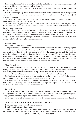b.All unused animals below the misdraw up to the end of the draw on the animals including all sleepers/re-rides will be drawn at to replace the misdraw.

i.If a sleeper/re-ride is drawn, it will go to the contestant with the misdraw and no other contestants will be affected.

ii.If an animal originally drawn by another contestant is drawn, the animal drawn will go to the contestant with the misdraw and the contestant originally having the animal will get the extra (first sleeper/re-ride drawn).

1)If no sleeper/re-rides (extras) are available, the last unused animal drawn in the original draw of the animals will be designated as the extra.

2)If the misdraw happens to be the last animal drawn in the draw and there are no sleepers'-rides, the procedure will be reversed in that all unused animals above the misdraw will be used to conduct the draw-away procedure.

3)Each misdraw will be corrected one at a time in the order they were misdrawn using the above procedure, but if four (4) or more animals are misdrawn in a draw before misdraws are discovered, all unused animals with the exception of re-rides will be returned to the hat and redrawn.

4)When there is not time prior to a paid performance to use the above misdraw procedure, the first sleeper (extra/re-ride) will replace misdrawn animals.

#### Drawing Rough Stock

In addition to the general draw rules:

1.Judges shall draw a minimum of two re-rides at the same time, but prior to drawing regular mounts for each performance. Contractors may feature 75% or 100% of the animals selected for contestants in the draw for each performance. If 100% of the animals are featured, there shall be twice the minimum re-rides in the draw, for three or more contestants. If there are two or less contestants only two re-rides are required(submitted by D. Bain 8/2019). The first contestant awarded a re-ride shall take the first drawn animal, and the second drawn animal will be used next. The first turn-out animal will be the next re-ride, then the second turn out animal, etc.

#### Timed Event Draw

1.All contractors must have not less than 25% of cattle to contestants, except in the tie down roping and steer wrestling where all contestants must have not less than 33% of calves/steers to contestants, or the number of contestants in any performance, whichever is greater.

2.The sections shall be set up in accordance with the number of animals to be used.

3.All animals selected to be used will be drawn for by number. Stock removed for being unsatisfactory will not be put back in the draw for that rodeo for any purpose.

4.No timed event animal will be "drawn/run" twice until all selected animals have been "drawn/ run" once with the exception of reruns. Process will be repeated keeping the "draws/runs" on the stock even. A drawn animal is considered a run animal.

#### Posting Draw

1.The rodeo secretary shall post a list of contestants and the number of their drawn stock (including re-rides) and position, including times and scores, in each go-round in an appropriate place. Judges, contractor and other personnel will receive copies of the draw.

2.The order of the events to be run in slack will be posted unless it is run in the same order as the rodeo.

#### **15.ROUGH STOCK EVENT GENERAL RULES**

Equipment must comply with all association rules.

Rough Stock Contestant Qualification

1.Ride for eight (8) seconds after the horse/bull leaves the chute. Time to start when the animal's inside shoulder crosses the plane of a closed chute gate. Time to be signaled by the timer's buzzer.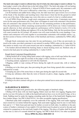The latch side judge's watch is official time, but if it fails, the other judge's watch is official The back judge's watch is the official time in the bull riding ONLY. The latch side judge will run backup watch for backup only. (submitted by J. Schoorl 8/2020) If horn sounds early, the contestant is still deserving of a score. If the score is affected by a short time, a re-ride option may be given.

2.In the bareback and saddle bronc riding event, the rider must have spur rowels over or in front of the break of the shoulders and touching horse when horse's front feet hit the ground its initial move out of the chute. Either judge may waive this rule as a result of a foul or a stalled animal.

3.At all NPRA Prime Rodeos, rough stock contestants may enter twice. Contestants may enter twice for the same performance only. Entry draw will happen as usual with contestant's first position then all contestant's that entered twice will draw for the remaining positions in that performance. Once the performance is filled, remaining second positions will be drawn out. Unless Committees specify otherwise in their advertised approval, performances will be limited to twelve (12) in the Bareback/Saddle Bronc Riding and eighteen (18) in the Bull Riding. Only the first positions drawn will count towards the All Around. All monies won will count towards the event standings. Committees and contractors will work together to accommodate contestants with multiple entries, e.g., the first section of horses will be first draw of the bareback and broncs. (submitted by NPRA office 2018)

4.Rough Stock contestants may late enter for any performance, even if they are previously entered in the rodeo, provided contestant is not entered in another NPRA rodeo on the same date. No late entries or money won will count toward year end or standings. (submitted by J. Catlin 8/2019)

5.No hotshot allowed behind the bucking chutes to shock bucking stock out. Hotshots only allowed in the back pens for sorting (submitted by J. Catlin 9-2019)

#### Rough Stock Contestant Disqualifications

1.Being bucked off or losing riding hand contact with rigging, rein or bull rope before the sound of the horn or less than eight (8) seconds on the judge's watch, whichever occurs first.

2.Touching animal, equipment or self with free hand/arm.

3.Rigging, saddle or rope coming off horse during the eight (8) second ride, with or without breaking.

4.Holding on to the chute gate, thus preventing the gate from being opened after contestant has indicated he is ready.

5.Grasping any part of the arena fence or chute gate during the eight (8) second ride.

6.Using any substance other than dry resin or benzoin on glove, chaps, rigging, saddle, or bull rope.

7.Riding with sharp spur rowels.

8.Failing to be above animal with glove on when prior animal leaves arena and contestant is next to go.

#### **16.BAREBACK RIDING**

In addition to rough stock general rules, the following apply to bareback riding:

1.Riding will be done with one hand rigging. Riders must use their own rigging. Rigging must not be over ten (10) inches in width at the hand-hold and not have over six (6) inch D rings, or be a freak. Padding must be under the rigging extending under the bars of the hand-hold. Rigging must have leather latigos. See PRCA Rule R10.4.1 for other acceptable rigging specifications.

2.Bareback pads shall completely cover the underside of the rigging. Pads used under riggings must extend two (2) inches behind the rigging. Pads used under riggings must be one (1) inch thick hair pad or 1 ¼" thick foam pad and must be leather covered on both sides. In addition to the pad, a piece of leather a minimum of one-eighth (1/8) inch thick must be glued or sewed to the pad, and centered in comparison to the total body length of the rigging. This piece of leather shall be placed so that one (1) inch of it extends behind the rigging. See PRCA Rule R10.4.2 for other acceptable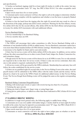pad specifications.

3.Cinches on bareback riggings shall be at least eight (8) inches in width at the center, but may be tapered to accommodate cinch "D" ring. See PRCA Rule R10.4.3 for other acceptable cinch specifications.

4.Spur rowels must have five or more points.

5.Contestant and/or stock contractor will have the right to call on the judges to determine whether the bareback rigging complies with the regulations and whether or not the horse is properly flanked or cinched.

6.Failure to free the hand from the rigging after the eight (8) second ride may result in a fine at the discretion of the judge, pickup man and/or stock contractor. Warning for the first offense, twenty five dollar (\$25) fine for the second offense, fifty dollar (\$50) for the third offense and progressing in twenty five dollar (\$25) increments with each additional offense.

#### Novice Bareback Riding

1.Novice membership is for Bareback Riding.

2.Novice member dues are \$50.

#### Novice Events

1.The NPRA will encourage their rodeo committees to offer Novice Bareback Riding with a minimum of one hundred dollars (\$100) in added money. Novice Bareback contestants cannot have won more than fifteen hundred dollars (\$1500) lifetime earnings. Membership is not mandatory, but is necessary to be eligible for finals and/or year-end awards.

2.Entry fees for novice events will be thirty dollars (\$30) in the purse. In addition, novice entries will pay the other associated fees as in other events (Finals Fund, Judges fee, Rodeo Connection fee, and committee charge.

3.Rough stock for the Novice events will be drawn for as in all NPRA events.Two re-ride animals are required in the re-ride draw for novice events. If there is only one novice contestant, then only one re-ride animal is required. (submitted by D. Bain 8/2019)

4.All novice events will be governed by the NPRA rulebook. Membership fees and entry fees will follow the scales established for the novice events.

5.If there are no qualified eight (8) second rides in the Novice Riding Event at the rodeo, the total payoff monies will be submitted to the NPRA office with the rodeo results and the money will be placed in a fund to be used at the NPRA Finals for additional added money in that Novice Riding Event. The Novice Rough Stock Riding events will be judged the same as the regular corresponding events.

#### Bareback Riding Contestant Disqualifications

1.Riding with locked spur rowels or spurs with rowels having less than five (5) points.

2.Violating the spur-out rule.

3.Taking any kind of finger tuck, finger wrap, or using finger tape.

4.Using gloves, palm pieces, or adhesives other than those indicated in PRCA Rules R10.4.4 and R10.4.5.

#### **17.SADDLE BRONC RIDING**

In additions to rough stock general rules, the following apply to saddle bronc riding:

1.Contestants are to use own saddle with leather latigos. Cinches shall be at least eight (8) inches in width at the center, but may be tapered to accommodate cinch "D" rings. See PRCA Rule R10.5.1 for other acceptable saddle and cinch specifications.

2.Spur rowels must have five (5) or more points.

3.Contestants or stock contractor will have the right to have judges pass on whether or not the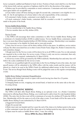horse is properly saddled and flanked to buck its best. Position of back cinch shall be over the break of the horses belly and any question of tightness shall be left to the discretion of the judges.

4.Halters may be provided by contestants or stock contractors. Contestants and stock contractors must agree halters are acceptable and;

a.If any halter comes off horse during an eight (8) second ride, contestant is not eligible for a reride. I.E. the fit and tightness of a bronc halter is the sole responsibility of the contestant.

b.If contestant's halter breaks, contestant is not eligible for a re-ride.

c.If stock contractor's halter breaks, contestant shall be awarded a re-ride if a qualified ride is made to the point of the break.

#### Novice Saddle Bronc Riding

1.Novice membership is for Saddle Bronc Riding.

2.Novice member dues are fifty dollars (\$50).

#### Novice Events

1.The NPRA will encourage their rodeo committees to offer Novice Saddle Bronc Riding with a minimum of a hundred dollars (\$100) in added money. Novice Saddle Bronc contestants cannot have won more than fifteen hundred dollars (\$1500) lifetime earnings. Membership is not mandatory, but is necessary to be eligible for finals and or year-end awards.

2.Entry fees for novice events will be thirty dollars (\$30) in the purse. In addition, novice entries will pay the other associated fees as in other events (Finals Fund, Judges fee, Rodeo Connection fee, and committee charge).

3.Rough stock for the Novice events will be drawn for as in all NPRA events.Two re-ride animals are required in the re-ride draw for novice events. If there is only one novice contestant, then only one re-ride animal is required. (submitted by D. Bain 8/2019)

4.All novice events will be governed by the NPRA rulebook. Membership fees and entry fees will follow the scales established for the novice events.

5.If there are no qualified eight (8) second rides in the Novice Riding Event at the rodeo, the total payoff monies will be submitted to the NPRA office with the rodeo results and the money will be placed in a fund to be used at the NPRA Finals for additional added money in that Novice Riding Event. The novice Rough Stock Riding events will be judged the same as the regular corresponding events.

Saddle Bronc Riding Contestant Disqualification

1.Riding with locked spur rowels or spurs with rowels having less than five (5) points.

2.Violating spur out rule.

3.Changing hands on rein, wrapping rein around hand, or hand not on the same side as the rein. 4.Losing stirrup.

#### **18.RANCH BRONC RIDING**

The NPRA will now offer Ranch Bronc Riding as an optional event. As a Rodeo Committee interested in offering Ranch Bronc Riding, you would need to add at least five one hundred dollars (\$500). The entry fees for this event will be a minimum of seventy-five dollars (\$75) plus the NPRA fees. Membership will be the same as in all of the other events. Event funds will be the same as the Saddle Bronc Riding Event.(submitted by D. Bain 8/2019)

a.Suggested Ground Rules

i.Eight (8) second ride

ii.Rider must start one handed until he is past the end of the chute at its farthest point in the arena a.After contestant is past the end of the chute gate at its farthest point he may ride two handed. iii.Spurs must be same as Saddle Bronc riders, 5-star, free rolling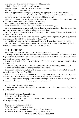iv.Standard saddle or slick fork with or without bucking rolls

v.No hobbling or binding of stirrups in any way

vi.Horses may be throat latched at the contractors discretion

vii.Rein must be attached to halter

viii.No chapping a horse at the gate. (Throwing or slapping chaps or rain coat at horse.)

ix.Same rein must remain on the halter and must maintain control for the duration of the ride

x.No spur out/mark out required (if they do it should be rewarded)

xi.After the contestant crosses the plane of the gate at the farthest point in the arena the rider can hold on to the horn, cantle rope, night latch, or rope strap

xii.Fanning of hat is allowed but not quirts or whips

xiii.Loss of stirrups is allowed but points may be deducted for doing so

xiv.If horse goes down to knees, belly, hip or shoulder the rider must ride them down and ride them up. (may take away points for how long the horse is down)

xv.If the horse goes down and touches both hip and shoulder on ground (laying flat) the rider must declare to receive a reride

xvi.Riders will be rewarded points for control, aggressiveness, exposure, length of spur stroke and drag time. The wildest, yet controlled ride should win.'

xvii.Rerides will be given according to rules listed under Rerides in the current rule book.

xviii.Ranch Saddle Broncs must be drawn according to NPRA riding event Drawing Livestoc rules with one exception:a.Paint brands on animals are allowed

#### **19.BULL RIDING**

In addition to rough stock general rules, the following apply to bull riding:

1.Riding to be done with one hand and loose rope, with our without handhold. No knots or hitches to prevent rope from falling off bull when rider leaves animal. See PRCA Rule R10.6.1 for other rope, hook, post or ring restrictions.

2.Rope must have bell. Bell must be under bell of bull, but not hang more than two (2) inches from bull rope.

3.Contestant may have no more than two (2) men on chute at a time to help pull bull rope.

4.Bull riders will be limited to pulling their ropes three times.

5.Contestant will have the right to call on judges to pass on whether or not the bull is properly flanked to buck to the best of his ability.

6.All bull horns must be blunted to the size of a fifty cent (.50) cent piece. The primary stock contractor will be fined fifty dollars (\$50) per head drawn for violation of this rule.

7.If a bull hips himself changing his momentum causing the rider to be bucked off, regardless if the rider himself is touched by the object, he is subject to a re-ride.

#### Bull Riding Contestant Qualifications

1.If rider makes a qualified ride eight (8) seconds with any part of the rope in the riding hand he is to be marked.

#### Bull Riding Contestant Disqualifications

1.Not having a bell on bull rope.

2.Riding with spur rowels with more than five (5) points or placing spurs or chaps under rope when rope is being tightened.

#### Limited No. of Contestants in Rodeo

1.The Bull Riding limit is as follows:

a.Eighteen (18) per performance through three (3) performances.

b.Fifteen (15) per performance through four (4) performances.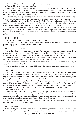c.Fourteen (14) per performance through five (5) performances.

d.Twelve (12) per performance thereafter.

2.If less than fifteen (15) contestants enter the bull riding, they may receive two (2) head of stock. If more than fifteen (15) contestants enter the bull riding they will receive one (1) head of stock. Rodeo committees have the option to limit bull riding to the minimums, or to open the entries to include more contestants than the minimums.

3.Upon entering, the top eighteen (18) will receive a bull and the balance to be drawn randomly. Current year's standings will be used and balance to be filled with previous year's standings.

4.The bull riding waiting list shall be prepared by Rodeo Connection. Prior to reaching the rodeo grounds the secretary shall use the list as drawn. Contestants on waiting list have priority over contestant not on waiting list and must call the rodeo secretary, if possible, for turnouts.

5.Upon reaching the grounds, the first NPRA member/co-approving association member bull rider on grounds who has paid his fees before the bull riding begins shall receive the first turnout bull. Contestants on the waiting list followed by contestants who entered late will have priority and judges will be notified, if possible.

#### **20.RE-RIDES**

1.At the discretion of either judge a re-ride may be awarded.

2.The condition of personal equipment is the responsibility of the contestant; therefore, broken personal equipment will not be grounds for a re-ride.

#### Stock Fouls Rider at the Chute

1.If, in the opinion of a judge, an animal fouls the contestant at the chute, he may be awarded a re-ride option if he declares himself. The contestant may be awarded a re-ride option whether he declares himself or not if a judge rules he did not have a reasonable chance to declare.

2.If rider is fouled in chute, causing him to miss horse out, but makes honest attempt to spur him out and qualifies, the judges shall waive spur-our rule and mark the rider.

3.If contestant draws an animal that fouls him in chute, he is entitled to a re-ride if he fails to get out on the animal after two attempts.

4.The association or judges have the right to rule out extremely dangerous animals in the chute.

#### Stock Falls

1.If animal falls, rider is eligible for a re-ride and a re-ride option if a judge feels fall significantly affected bucking performance. Rider may take same animal back, provided stock contractor is willing, or he may have a re-ride drawn. If rider takes same animal back, he must take the marking with the exception of a foul, fall, or other things not related to bucking performance.

2.If animal falls, and if cowboy rides animal up and goes on and contests, he will be marked, provided he makes a qualified ride and doesn't touch the animal or himself with free hand while animal is on the ground, with final decision left to the judges. Touching the ground is permissible.

3.A fall is defined as an animal going down to at least; both front knees or both hind hocks.

Stock Fails to Buck or Stops

1.If animal fails to buck or stops any time during the eight (8) seconds, rider is eligible for a reride. Rider may take same animal back, provided that the stock contractor is willing, or he may have drawn re-ride. If rider takes same animal back, he must take the marking with the exception of falls, fouls, interference and other things not related to bucking performance.

2.If a riding event animal stops after an initial start and outside help restarts animal, rider does not have to qualify to be eligible for a re-ride.

#### Flank Comes Off

Rider may be given a re-ride option on same horse or bull, given a re-ride option on drawn re-ride horse/bull or take his marking, if flank comes off or breaks provided he completes a qualified ride.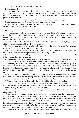#### **21.TIMED EVENT GENERAL RULES**

#### Numbering Stock

1.All steers will be number-branded on the horn or right side for team roping cattle and left side for steer wrestling cattle. The fines for the first rodeo that steers are used that are not numbered shall be fifty dollars (\$50) per head and doubled per head every rodeo thereafter. Fine to be levied by the judges or event director.

2.All cows and calves will be ear tagged for one year with the same color of tags.

3.If there are ear tags as well as brands on cattle, they must coincide.

4.Changing or altering number brands on cattle during a year will result in a one hundred dollar (\$100) fine per animal to the stock contractor.

#### Stock Requirements

1.All contractors must have not less than twenty-five percent (25%) of cattle to contestants, except in the tie down roping and steer wrestling where all contractors must have not less than thirty-three percent (33%) of calves/steers to contestants, or the number of contestants in any performance, whichever is greater.

2.The contractor shall contact the event director or director at large within forty-eight (48) hours of the rodeo when fresh or add-on calves will be used.

3.All tie down calves must be weaned two (2) weeks prior to the start of the rodeo. They may not be weaned for the weekend then put back on the cow.

4.All fresh tie-down calves may be flanked and tied prior to the first draw at rodeos at which they will be used. Event director or representative must verify tying of calves.

5.All tie down calves brought up from the breakaway roping shall be considered "fresh" and follow the rules for tying fresh calves.

6.Team Roping and steer wrestling cattle will be of same sex – if heifers, upon event director's approval only. Mixed pen shall be subject to fine of fifty dollars (\$50) per head, per run.

7.Calf roping calves shall have horn two (2) inches long or less on either side. Breakaway cattle will have a horn length of three (3") inches or less on either side. Team Roping steers must have at least six (6") inches of horn on both sides. Steer Wrestling steer's horns shall be a minimum of nine (9") inches long on both sides. The measurement will be from the bottom of the base of the horn to the tip.

8.The horn spread of cattle (including cow milking cows) shall be no more than twenty-eight (28") inches tip to tip unless approved by the event director. Stock contractors are expected to cooperate in trimming steers horns to allow them to freely pass through chute.

9.Team roping and steer wrestling cattle's horns will be blunted to the size of a dime.

10.To keep steer wrestling steers even, a director or representative will have the right to throw or eliminate any steer, at least one (1) hour before the draw of the first performance or slack, under the supervision of a judge and the contractor or his representative.

11.Any steer wrestling cattle held over from one year to the next cannot be used except by event director approval.

12.Any steer wrestling or team roping steer identified by the event director as being unfit for use and black-balled, must be horn branded with an "X". The fine to the stock contractor for returning the steer to the draw shall be fifty dollars (\$50) per head and doubled per head every rodeo thereafter.

13.Cow milking cows and calves shall be separated at least one (1) hour before rodeo or slack. Roper has option of posting fifty dollar (\$50) bond to have a cow checked by a judge, if he feels the cow has no milk, as soon as possible after the draw and before contested on. If cow is found to be dry, the contestant shall receive his bond back and be drawn another cow.

14.No black-balled stock from any co-approving association will be allowed at NPRA rodeos. If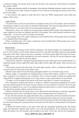a contractor brings one and the stock is put into the draw, the contractor will be fined two hundred fifty dollars (\$250).

15.Judges and contractor shall be in attendance when directors eliminate animals to make an even herd.

16.All timed event cattle with the exception of cows must be run through the arena at least twice prior to the rodeo.

17.Any director who approves cattle that don't meet the NPRA requirements must notify the judges of that rodeo.

#### Cattle Weight

1.Tie down calves can be no more than two hundred seventy-five (275) pounds. and recommended minimum weight is no less than two hundred (200) pounds. The tie down roping director must be notified if there is a deviation from the recommended minimum weight.

2.Breakaway calves can weigh no more than four hundred (400) pounds. Recommended minimum weight no less than two hundred and fifty (250) pounds. Pens used should be uniform in size, within fifty – seventy-five (50-75) pounds of each other.

3.Team roping steers will weigh a minimum of four hundred fifty (450) pounds and a maximum of six hundred fifty (650) pounds.

4.Steer wrestling steers will weigh a minimum of four hundred fifty (450) pounds and a maximum of six hundred (600) pounds.

#### Barrier Rules

1.All barriers in all timed events will be mechanical. The barrier height to be standardized thirty-two (32) to thirty-six (36) inches. Barriers must be a side-pull with pulley and neck rope pulling from side of the chute. Chutes must have a clearance of at least twenty-eight (28) inches for steers.

2.Barrier box pads will be furnished by the stock contractor. The fine for not providing box pads shall be fifty dollars (\$50) for the first offense.

3.Panel boxes shall have adequate backing behind box pad, either plywood or plank boards to a minimum height of forty-eight (48) inches and width of forty-eight (48) inches. Pipe rail boxes are exempt.

4.Neck ropes must be tied with string. No metal snaps, elastics, Velcro, or hardware shall be used on neck ropes for cattle used in the timed events.

5.Barrier ropes must be tied with string and pigtail shall be ten (10) inches long or less.

6.Barrier judge is responsible for changing barrier string when broken, whenever it may have been weakened, or on request of next contestant. If two or more strands of string are required, the string shall be wrapped continuously two or more times to create equal tension on each strand.

7.A judge is to be on hand at the barrier at all times when there is a timed event going on.

8.If a contestant is fouled at the barrier or if there is a failure in the barrier equipment, the contestant must declare himself if he knows he gets fouled or he must qualify if he doesn't know he gets fouled to be eligible for a re-run. If a contestant breaks the barrier prior to a foul or barrier malfunction, the barrier penalty shall be carried to the re-run.

9.When contestant asks for stock, gate is to be opened and stock belongs to contestant regardless of bad breaks such as horse wheeling at barrier, horse beating animal out of barrier, etc.

10.Any time the primary line judge determines that a contestant has obviously beaten the barrier; a ten (10) second penalty shall be assessed even though the barrier string may not have broken.

11.If any part of the pigtail is carried more than ten (10) feet from the pin, the broken barrier may be waived providing the contestant did not obviously beat the barrier as determined by the primary line judge.

12.Should the barrier break at any point other than the designated breaking point, the barrier judge will determine whether there will be a ten (10) second penalty. If the contestant obviously beats the barrier, ten (10) seconds will be added to his time. If not, this will not be considered a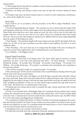broken barrier.

13.When judge/director feel that the conditions warrant, lining is permitted beyond the score-line not to exceed twenty-five (25) feet.

14.Barriers not being used during a timed event must be kept free of horses during all timed events.

15.If header ropes steer, but heeler declares team as a result of a foul, malfunction, interference, etc., team will be eligible for a re-run.

#### Score Lines

Scores shall be set in accordance with the procedure in the PRCA Judges Handbook, Score Lengths Section.

1.Tie Down Roping/Breakaway Roping – The scoreline may be no shorter than the length of the calf roping box minus four (4) feet, unless approved by the roping director or his/her representative. When fresh calves that have never been roped are used, the score will be four (4) feet under the length of the box. Calves on cows after two (2) rodeos will not be considered fresh when setting the score. The score used in the breakaway roping may be different than tie down roping depending upon the quality of the breakaway cattle.

2.Team Roping – The minimum length of the team roping score line shall be the length of the box minus two (2) feet. In all cases maximum score line cannot exceed eighteen (18) feet or as arena conditions allow.

3.Steer Wrestling – The score line may be no longer than the length of the steer wrestling box minus five (5) feet unless approved by steer wrestling director or his representative.

4.Cow Milking – to be flagged at gate.

#### General Timed Event Rules

1.There will be a time limit in all timed events. The timers shall signal by buzzer or whistle indicating "no-time" at the end of the following time limits: Tie Down Roping – 30 seconds; Breakaway Roping – 30 seconds; Steer Wrestling – 60 seconds; Team Roping – 30 seconds; Cow Milking – 60 seconds (head-mug – 90 seconds). A contestant must immediately quit competing at the time limit whistle.

2.Time will be recorded in tenths of a second (example: 8.2 seconds)

3.The catch pen gate will be closed in all timed events except Breakaway Roping where the gate will be open in all one-go around rodeos.

4.If stock gets out of the arena, the flagger is to drop the flag to stop the time and roper will get the same stock back. Roper must start from inside the box without the barrier rope. Time to start as flagged by the line judge at the gate with time the roper spent before stock got out added to the total time, including any penalties. If rope was on stock when escape occurred, the rope shall be put on in the chute. The barrier box is considered part of the arena.

5.If animal gets out of arena and no time is recorded, the roper will get stock back with 10 (ten) seconds added to time.

6.If time is not recorded when a field flagger flags out a contestant who has another loop or jump coming, the contestant has the option of taking the same animal back, with 10 (ten) seconds added to the new time. Contestant must start from inside the box without the barrier rope. See PRCA Rule R 11.3 for other barrier and flagger/timer malfunctions.

7.If a contestant is fouled at the barrier or if there is a failure in the barrier equipment, the contestant must declare himself if he knows he gets fouled or he must qualify if he doesn't know he gets fouled to be eligible for a re-run. If a contestant breaks the barrier prior to a foul or barrier malfunction, the barrier penalty shall be carried to the re-run.

8.Attempting in any way to tamper with animal or chutes.

9.If cattle does not break neck rope string upon chute gate opening giving timed event contestant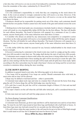a fair shot, they will receive a re-run on extra if not induced by contestant. That animal will be pulled from the remainder of the rodeo. (submitted by D. Howell 2017)

#### Contestant Rules

1.It is the contestant's responsibility to verify that they are competing on the stock drawn for them. In the event an animal is wrongly contested on they will receive a no time. However, if the judge verified the animal at the contestant's request, they will receive a re-run on the animal that was drawn for them.

2.Producers should not be responsible for putting stock out of the chute; each contestant should furnish his/her own pusher. Pushers cannot leave the mouth of the gate until animal crosses the score line.

3.Striking horse in the head under any circumstances (includes hand) or abusive whipping in any event will result in a two-hundred-fifty dollar (\$250) fine for the first offense. The fine will double for each offense thereafter. The board of directors will suspend, for a minimum of one (1) rodeo season, anyone found guilty of the same infraction more than three (3) times.

4.A member who abuses an animal by any unnecessary non-competitive or competitive action (anywhere on the rodeo grounds) will receive a two-hundred-fifty dollar (\$250) fine and/or disqualification. The fine will double for each offense thereafter. The board of directors will suspend, for a minimum of one (1) rodeo season, anyone found guilty of the same infraction more than three (3) times.

5.A fifty dollar (\$50) fine shall be assessed for any horse(s) stalled/stabled in the timed event boxes overnight.

6.Excessive jockeying by contestant in the timed events may result in a judge giving the contestant sixty (60) seconds to start their run. The judge shall declare the start of said sixty (60) seconds.

7.Contestants must compete in drawn order unless the same horse is being ridden back to back. In that case, the first contestant below those needing the split will be moved up to create the split. One split at a time starting with the first received split will be made until all splits have been made. Splits according to the above procedure may be made when hazer's horses are being used for several steer wrestlers to minimize delays during the steer wrestling.

#### **22.TIE DOWN ROPING**

In addition to general timed event rules, the following apply to tie down roping:

1.Two loops will be permitted if two loops are carried. Should contestants miss with both, he must retire and no time will be allowed.

2.Rope may be dallied or tied hard and fast – either is permissible.

3.Contestant must adjust neck rope and reins in a manner that will prevent the horse from dragging the calf. If a horse drags the calf the field judge may stop the horse.

4.If a jerk line is used, the jerk line will be a maximum length of fifteen (15) feet and one-half (1/2) inch in diameter.

5.If a roper's hand is on the calf when the calf falls after initial jerk, calf is considered thrown by hand.

6.Untie man must not touch calf until the judge passes on the tie.

#### Tie Down Roping Contestant Qualifications

1.Any catch is a legal catch.

2.Contestant must dismount, go down rope and throw calf by hand and cross and tie at least three legs. Tie must be one full wrap around at least three legs and finished with a half hitch or hooey. At least three legs must stay tied and crossed for six seconds (see the following Rule 5).

3.If a calf is down when the roper reaches it, the calf must be let up to its feet or lifted high enough that it could stand on all four feet if dropped and must be thrown by hand.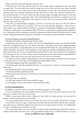4.Rope must hold calf until roper gets hand on calf.

5.The time for a calf to be securely tied is six (6) seconds. Roper's hands must leave the string to signal time. The time shall start when the roper gets on his horse and the horse takes one step forward and there is two to three feet of rope on the ground. A slack rope on the ground when roper remounts does not constitute starting the watch, and the horse must step forward to begin the six (6) second procedure. If, for any reason, the rope becomes tight, the judge shall stop the watch and wait for the contestant to again give slack. The watch shall again be started to continue the six (6) second count. If rope is off calf after roper signals for time, the six (6) second procedure shall start after the roper clears the calf.

6.The fine for unintentionally dragging a calf five (5) feet but less than ten (10) feet shall be twenty-five (\$25) dollars per occurrence. The fine for unintentionally dragging a calf ten feet or more shall be one hundred dollars (\$100) per occurrence. Intentionally dragging a calf, regardless of distance, shall result in a two hundred fifty (\$250) fine for each offense, plus possible disqualification. Intentional shall be defined as caused by contestant and shall include both physical and verbal actions. Repeated intentional drag fines will double. Fines must be paid within thirty (30) days.

Tie Down Roping Contestant Disqualifications

1.Roping calf without releasing loop from the hand.

2.Intentional jerk-down and or abuse will result in disqualification and a one hundred (\$100) dollar fine, doubling the fine for each offense thereafter. Jerk down will result in disqualification; second (2nd) offense is disqualification and one hundred (\$100) dollar fine and doubling fine each offense thereafter. Jerk down will be defined as over backwards with the calf landing on his back or head with all four feet in the air. (Submitted by Schoorl 2017) The board of directors will suspend, for a minimum of one (1) rodeo season, anyone found guilty of the same infraction more than three (3) times. When fresh calves are used, the jerk-down rule will not be enforced.

3.If calf does not stay legally tied during the six (6) second procedure and legs become uncrossed or calf gets to his feet, the roper will be flagged out and marked no time.

4.Touching pigging string after signaling for time.

5.Grabbing catch rope after signaling for time, or any physical or verbal act to purposely tighten catch rope.

6.Exceeding the thirty (30) second time limit

7.Touching calf after signaling for time.

8.Missing with first loop and second loop and second loop becoming uncoiled or loose and touching the ground.

9.No neck rope on calf horse.

10.Catch rope being off calf when touched by roper.

11.Not getting calf up if calf is down when touched by roper.

#### **23.TEAM ROPING**

In addition to general timed event rules, the following apply to team roping:

1.Two (2) contestants can rope together on one (1) head of stock only and a contestant may rope only one (1) head of stock in one go-round.

2.When a team roper calls to enter a rodeo, he must enter as a team and give the secretary his partner's name and association card number.

3.A one go-around rodeo will be two (2) loops; two (2) or more go-rounds will be three (3) loops.

4.Any heeler 50 years of age or older may tie on hard and fast to the horn with the use of a breakfree safety device. Minimum length of the rope to be no less than sixteen (16) feet. Any malfunction of roper's equipment may result in a no time.

5.If a team roper draws out with a medical or turns out after the books are closed, the contestant entered with him/her may draw out, or may get another partner who is a NPRA member or a co-ap-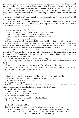proving association member, for performance or slack; except team ropers who are already entered the legal number of times in the event. If one partner is already entered in the rodeo, his/her points will count. If the new partner is not already entered in the rodeo, he/she will be considered a late entry and points will not count. If a partner gets a new partner, the new partner will be liable for the entry fee at the rodeo and the partner that is not competing will be liable for the Rodeo Connection fee if it is a medical turnout or the fine for a turnout.

6.Money won heading will count towards the heading standings, and money won heeling will count toward the heeling standings.

7.For the finals rodeo the designated number of contestants to compete in an event as the top headers and the top heelers will be eligible. Ropers must partner with another contestant that has qualified and entered the finals rodeo.

Team Roping Contestant Qualifications

1.Each contestant will carry one rope. Header must throw first loop.

2.Roper must dally to stop or turn steer. No tie ropes allowed.

3.Steer to be roped first by head or horns or head and one horn.

4.Steer to be roped by one or both hind feet.

5.Straight time for two (2) hind leg catch. Five seconds added to time for one hind leg catch.

6.The steer's body must be turned and moving forward before the heel loop can be thrown. However, if the steer stops, it must only be moving forward for the heel loop to be legal. Any heel loop thrown in the switch will be considered crossfire and no time will be recorded.

7.Time will be taken when steer is roped, both horses facing steer, with ropes dallied tight. The amount of "V" allowed shall be consistent with considerations for the animal's health and arena conditions. Horse's feet must be on ground and ropers must be mounted to be flagged. Steer must be up when roped by head and heals.

8.Steer must be kept stretched until inspected by field judge.

9.The following catches are legal head catches: around both horns, around the neck or a half head.

10.Any question as to catches in this contest will be decided by the field flagger.

11.Illegal catches will be flagged when the ropers declare themselves by dallying, and facing. Then, the team will be flagged out for illegal catch.

#### Team Roping Contestant Disqualification

1.Roper roping steer without turning loose the loop will be considered no catch.

2.Any catch by the header except both horns, half-head or neck catch.

3.Allowing steer to back into heel loop.

4.Dropping rope at any time.

5.Illegal head catches are, but not limited to: if hondo passes over one horn and the loop over the other; if loop crosses itself in a head catch; if loop is in the steer's mouth.

6.A catch declared a crossfire.

7.Handling the steer roughly at any time.

8.Exceeding the thirty (30) second time limit.

9.Header not throwing first loop.

10.Steer not standing when roped by both head and heels.

11.Front leg in heel loop.

#### **24.STEER WRESTLING**

In addition to general timed event rules, the following apply to steer wrestling.

1.The steer wrestling event must be run before the barrel racing in a performance or slack.

2.The fairness of catch and throw will be left to the flagger and their decision will be final.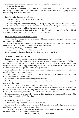3.Contestant and hazer must use same horses with which they leave chutes.

4.No penalty for breaking horn.

5.Steer must be caught from horse. If contestant loses contact with steer, he must re-catch it within one step or remount and jump from the horse. Contestant will be allowed two (2) jumps at a steer within a sixty (60) second time limit.

#### Steer Wrestling Contestant Qualification

1.Contestant must furnish his own hazer and horses.

2.One hazer allowed.

3.After catching steer, wrestler must bring it to a stop or change its direction and twist it down.

4.If a steer is accidentally knocked down or thrown down by wrestler putting animal's horns in ground, it must be let up on all four feet and then re-thrown.

5.Steer will be considered down only when it is lying flat on back or side, all four feet and head straight and steer wrestler must have hand on steer to be flagged.

Steer Wrestling Contestant Disqualification

1.Any contestant using a hazer who is not a NPRA member, local, co-approving association member, or permit holder.

2.Rendering any assistance to contestant while contestant is working steer will result in fifty (\$50) dollar fine to hazer and disqualification of the steer wrestler.

3.Exceeding the sixty $(60)$  second time limit.

4.Dogger taking more than one (1) step to re-catch steer.

5.Not stopping or changing the steer's direction prior to throwing steer.

#### **26.WILD COW MILKING**

In addition to general timed event rules, the following apply to cow milking:

1.Committees have the option to require contestants to head mug the cows during the Wild Cow Milking. It must be stated as a ground rule on the approval form and listed in the rodeo guide. Head Mug is defined as follows: Mugger will be required to get to the head of the cow as soon as practical. He must then release the rope and hold the cow by the head.

2.The milker may dally and hold the cow until the mugger gets to the head of the cow, or he may undally and go down the rope to the cow.

3.Clear glass bottles, uniform in size, must be used. Contestants are responsible to get their own bottle before entering the roping box.

4.There will be one milker and one mugger to each team.

5.Milker will be allowed to leave starting place lap and tap with cow. Time to start as flagged at gate by the line judge.

6.The finish line in the cow milking must be marked with a rope.

7.There will be a sixty (60) second time limit, to be signaled by a buzzer, after which the contestants must release the cow. In a "head mug" only rodeo there will be a ninety (90) second time limit, to be signaled by a buzzer, after which the contestants must release the cow.

8.Timers shall be required to signal, by a buzzer, if the time has exceeded sixty (60) or ninety (90) second time limit or sixth (6th) place time.

#### Cow Milking Contestant Qualification

1.Roper must dally. Rope will not be tied hard and fast.

2.Must be a clean neck, half head or horns catch. Head catch must be legal prior to the mugger touching the rope or cow, whichever occurs first.

3.The rope must be free of the horse and saddle when milker comes in contact with the cow, OFF means off clean, not touching the horse or saddle.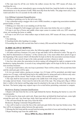4.The rope must be off the cow before the milker crosses the line. OFF means off clean, not touching the cow.

5.The cow milker must, immediately upon crossing the finish line, hand the bottle to the judge for determination as to the amount of milk. Milk must drip from the bottle. The judge must carry a stop watch and allow five (5) seconds for the milk to drip.

Cow Milking Contestant Disqualification

1.Holding or grabbing cow by the tail at any time.

2.Any contestant using a mugger who is not a NPRA member, co-approving association member, permit holder, or local.

3.Milking cow when she is not standing on all four feet.

4.If rope is dropped by both mugger and roper at the same time before the cow is milked.

5.If rope is not free of horse and saddle when roper comes in contact with cow, OFF means off clean, not touching the horse or saddle.

6.If rope is not off of cow when milker steps in finish circle, OFF means off clean, not touching the cow.

7.Not dallying.

8.Touching bottle after handing it to judge.

9.Exceeding the sixty (60) second time limit or ninety (90) second time limit if head mugged.

#### **26.BREAKAWAY ROPING**

In addition to general timed event rules, the following apply to breakaway roping:

1.All ladies and boys fourteen (14) years of age and under will be allowed to enter. The age of a boy shall be determined as of January 1 of the current year. A boy must either show proof of age at the beginning of the season which will thereafter be kept on file by the association secretary/treasurer or be able to show proof of age to the rodeo grounds secretary whenever asked.

2.Any boy who enters the association tie-down roping will relinquish his right to compete in the breakaway roping thereafter. A record of any relinquished rights will be kept on file by the association secretary/treasurer.

3.At one go-round rodeos, only one loop is permitted. There will be a thirty (30) second time limit and the catch pen gate will be open.

4.At two go-round rodeos, paying an average, two (2) loops will be permitted, provided roper carries two (2) ropes, with both being tied to the saddle horn by string and each is thrown only once. Catch pen gate will be closed. There will be a thirty (30) second time limit.

5.The rope shall be tied securely enough to the saddle horn with string to allow a tug by the barrier judge and not break. A knot must be tied at the end of the rope. The string and a flag or ribbon that is visible to the barrier and flag judge must be attached to the rope at the end of the rope next to the knot. The barrier judge may request rope to be re-tied before permitting contestant to compete.

#### Breakaway Roping Contestant Qualifications

1.Ropers will start from the box on the right behind the barrier. Breaking the barrier is a ten (10) second penalty.

2.Catch must be clean neck catch only. Rope must draw up behind the head and ears, come tight around the neck only. Any front legs, body, back legs and tail will result in a no time.

3.The calf must break the rope away from the horn.

Breakaway Roping Contestant Disqualifications

1.Any calf to touch or cross the line at the catch pen gate before the rope has broken away. The line will be an imaginary plane between the gate posts.

2.Missing the first loop and the second loop becoming uncoiled or loose and touching the ground. 3.Roper breaking rope from the saddle horn.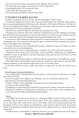4.If nylon-type-horn-string is provided by rodeo officials and is not used.

5.If cotton-type-horn-string is used contestant will be disqualified.

6.Exceeding the thirty (30) second time limit.

7.Catch other than clean neck catch.

8.Not tying string and ribbon to end of rope at knot.

#### **27.WOMEN'S BARREL RACING**

In addition to general timed event rules, the following apply to barrel racing:

1.Contestant's appearance must be neat, clean and professional. Any contestant whose appearance is deemed unprofessional will be fined at the discretion of the Board of Directors. The fine will be up to one hundred (\$100) dollars. Contestants must wear pants, long sleeve shirt, western hat and western boots for all rodeo performances and slack.

2.Barrel horses cannot be ridden by more than one contestant, per rodeo.

3.Running start is allowed. One circle is allowed. Contestant may cross the starting line anywhere between the first and second barrels, or between the electric eyes if they are used. Entrance and exit gate to remain the same for all contestants and consistent throughout the rodeo.

4.A twenty-five (\$25) dollar fine will be assessed for excessive jockeying of horse or circling after entering the arena. You must proceed through the gate in a forward motion to position, turn and go. One (1) 360 degree turn is permitted.

5.A barrel racing horse can be lead through the gate to compete as long as the helper is in dress code and does not cross the starting line.

6.In case of a draw-out in a paid performance, exhibition runs will be after paid contestants.

7.During the barrel racing event, field judges must be available to determine any irregularities in pattern or arena, set up barrels as needed, keep pattern clean (pick up hats, bell boots, etc.) and verify contestants at gate.

8.If racer feels she has been fouled or interfered with, she must declare to be eligible for a re-run.

9.The NPRA/Barrel Racers/Barrel Racing Director, request the opportunity to ask the NPRA Rodeo Committees to rake the barrel pattern after every six (6) barrel racers.

10.All shirts will have to have a collar and buttons or snaps down the front. No holes in your jeans.

Barrel Racing Contestant Qualification

1.Go to either right or left barrel first, but must make two left turns and one right turn or two right turns and one left turn.

2.Five (5) seconds will be added to the contestant's time for each barrel knocked over.

Barrel Racing Contestant Disqualification

1.Failure to follow course disqualifies contestant for the go-round and the finals.

2.Losing your horse upon falling.

3.Competing on a horse that has already been competed on by another contestant at that rodeo.

4.Making an exhibition run during slack or performance on a horse prior to any competition run.

5.Not entering and exiting arena through designated gates.

#### Timing

1.The NPRA barrel racing event director or a designated NPRA member will furnish the rodeo committee with an electric eye for use at their rodeos. If the stock contractor furnishes an electric eye for their rodeo, they would receive the two (\$2) dollars each barrel racing contestant pays for the upkeep of the eye. If an electric eye furnished by a stock contractor does not work, the two (\$2) dollars for each missed run that the barrel racer pays for the upkeep of the eye, will go to the barrel racing fund.

2.It shall be timers' responsibility to assure the electronic eye is available and ready for the barrel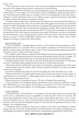racing event.

3.Time will begin as soon as the horse's nose crosses the starting line between the two electric eyes and will be stopped when the horse's nose passes over the finish line.

4.If the eye malfunctions the barrel racer will automatically be given the back-up manual time in tenths (10th's). A re-run option will only be given if there is interference, during the barrel racer's run which affects her run (bull, dog, etc. in arena). If a five (5) second penalty occurs before the interference it will be carried forward to a re-run. When a re-run is required for anyreason, there shall be a delay of thirty (30) minutes if contestant so desires.

5.Complete electric timer must be backed up by the flagman who will stand directly behind one timer post in the arena. One timer will record the times that appear on the electric-eye-controlled readout in 100th's (hundredths). The second timer will operate the backup manual watch and record the time in 10th's (tenths). She will operate from the flagman's signals. When using an electric eye and it fails to operate correctly for more than one half  $(1/2)$  of the total contestants, use the backup recorded times in the 10th's (tenths) for the rodeo or go-round. If the electric eye fails to work during the first performance, every attempt should be made to have any electric timer for the remainder. Electric eye time to 100th's (hundredths), backup time to 10th's (tenths). Rodeo which is hand flagged in its entirety is timed to the 10th's (tenths).

#### Barrel Racing Course

1.Clover Leaf Pattern – Standard distance: 90 feet x 105 feet with a 60-foot starting line. A standard pattern must be set if possible. The score line shall be a minimum of 45 feet from the fence. Specify in and out gates and whether open or shut. Persons measuring and marking barrel pattern must give a copy to a judge or the rodeo secretary.

2.If a standard course cannot be marked, then the distance between the second and third barrel will not be more than the distance between the first and second barrel plus twenty (20) feet. (Example: 70' between the first and second barrel, then no more than 90' from the second to the third barrel.)

3.Distance from the fence: first and second barrel shall be placed at least fifteen (15) feet from any fence. Third barrel shall be placed at least twenty-five (25) feet from any fence.

4.The barrels must be marked with a tape measure. No automatic measuring devices will be used.

5.When setting barrels on markers, center of barrel should be positioned over where the marker comes out of the ground.

6.It shall be mandatory that stakes be used for the starting line when the electric eye is used.

7.Barrels used must be 55 gallon metal barrels with top and bottom intact (not open ended). If metal barrels are not available, 55 gallon plastic barrels may be used adding four (4") inches of water or sand to each plastic barrel.

8.Barrels must be set a minimum of twenty (20') feet off markers when practicing.

9.Any local barrel event scheduled during a performance must be placed in schedule of events after NPRA barrel race event. Barrels must be placed a minimum of (15') feet (if possible twenty (20') feet) from NPRA barrel markers. It is the flag judge's responsibility to oversee.

#### Arena Conditions

1.Each performance will be limited to 12 contestants. If the committee chooses to run more than twelve (12) in a performance they are responsible to tractor drag after twelve (12) and they will tractor drag consistently in slack. If no slack at rodeo, tractor drafter after twelve (12) or evenly between contestant's run (ex: twenty (20) in performance drag after ten (10). When a tractor drag is required, it will occur after the designated number of contestants drawn regardless if there have been turnouts, vet or medical releases.

2.The ground shall be worked the same prior to slack as it was prior to performances. If barrel racing is the last event in the slack performance the barrel pattern in its entirety, including the start and stopping area shall be worked by tractor before commencing. (submitted by D. Bain 2018)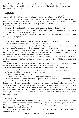3.A Best Footing Award may be awarded to the committee who has made extra effort to insure the best possible ground conditions for the barrel racing event. The barrel racing director will determine the method of selection for this award.

#### Vet Release

1.Any contestant using a vet release cannot participate in any other barrel racing competition on said horse for three (3) days. Any violation will result in a one-hundred (\$100) fine.

2.A vet release must be provided to the rodeo secretary or NPRA office if a barrel horse is unable to compete. The release must be received by the NPRA office within seven (7) days of turned out performance or contestant will be liable for entry fee and turnout fine.

Barrel Racing Fines

1.There will be a fifteen (\$15) dollar fine for losing hat in the arena during the run.

2.Anyone setting the barrels on the official markers and practicing or working horse on pattern will be fined a minimum of twenty-five (\$25).

3.A fifty (\$50) dollar fine will be assessed against any barrel racer refusing to assist a judge in marking the barrel pattern.

#### **28.RULES TO INSURE HUMANE TREATMENT OF LIVESTOCK**

1.A qualified veterinarian should be available at all events.

2.Animals for all events will be inspected before the draw, and no sore, lame, sick or injured animals with defective eyesight shall be permitted in the draw at any time.

3.Should an animal become sick or injured between the time it is drawn and the time it is scheduled to be used in competition that animal shall not be used in competition and another animal drawn for the contestant as provided in the Association rule book.

4.Any association member, including stock contractor, guilty of excessive mistreatment of livestock may be fined by the board of directors with fine not to exceed five (\$500) hundred for the first offense.

5.Striking a horse in the head under any circumstances (includes hand) or abusive whipping in any event will result in a one hundred (\$100) dollar fine for the first offense.

6.A conveyance must be available to remove animals from the arena in case of injury.

7.No stimulants or hypnotics to be used or given any animal used for contest purposes.

8.The arena shall be free of rocks, holes and obstacles.

9.Clowns are not to abuse stock in any fashion.

10.Contestant may be disqualified for any mistreatment of livestock.

11.No stock should be confined in vehicles beyond a period of twenty-four (24) hours without being unloaded, properly fed and watered. When animals are carried in conveyances in which they do have proper food, water, space and opportunity to rest, the provision for unloading shall not apply.

12.Association members who abuse an animal by any unnecessary non-competitive and/or competitive action (anywhere on the rodeo grounds) will result in a two hundred fifty (\$250) dollar fine and/or disqualification. The fine will double for each offense thereafter. The board of directors will suspend, for a minimum of one (1) rodeo season, anyone found guilty of the same infraction more than three (3) times.

#### Rough Stock Events

1.No sharp or cutting objects in cinch, saddle girth, or flank straps shall be permitted. Only sheepskin-lined flank straps shall be used on bucking horses and shall be of the quick-release type. Sheepskin-lined flank straps shall be placed on the animal so the sheepskin covered portion is over both flanks, and the belly of the animal.

2.No locked rowels, rowels that will lock on spurs or sharpened spurs may be used on bareback or saddle bronc horses.